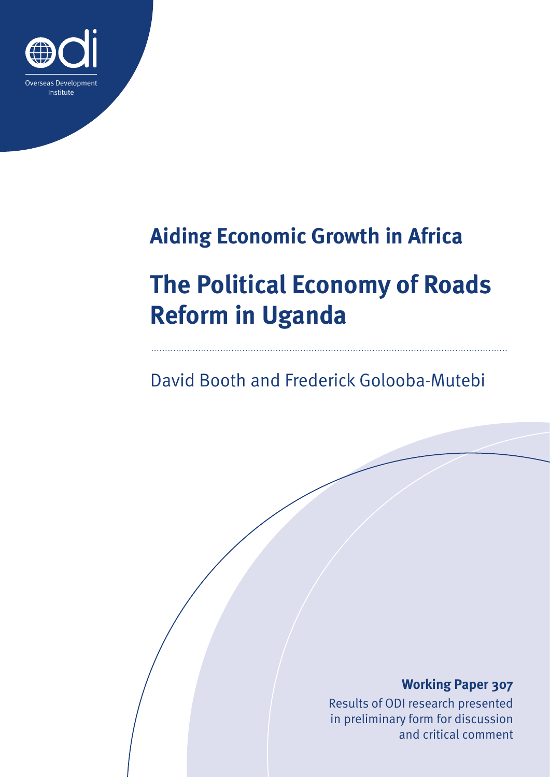

# **Aiding Economic Growth in Africa**

# **The Political Economy of Roads Reform in Uganda**

# David Booth and Frederick Golooba-Mutebi

## **Working Paper 307**

Results of ODI research presented in preliminary form for discussion and critical comment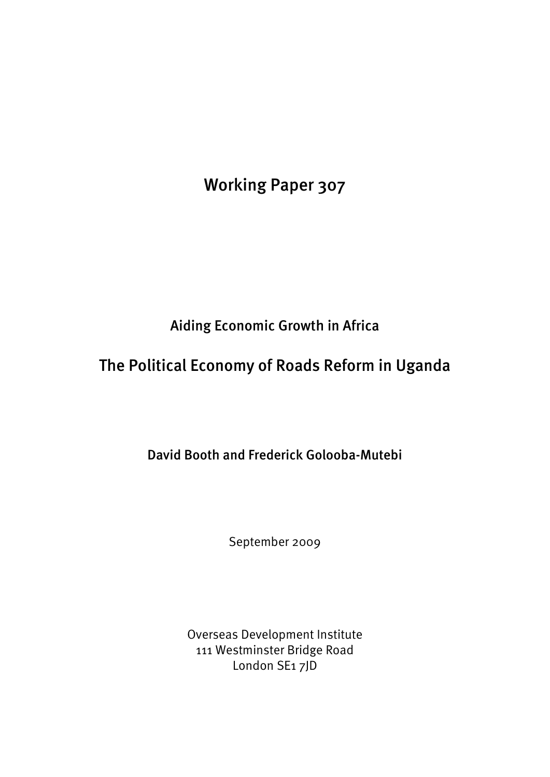Working Paper 307

Aiding Economic Growth in Africa

# The Political Economy of Roads Reform in Uganda

David Booth and Frederick Golooba-Mutebi

September 2009

Overseas Development Institute 111 Westminster Bridge Road London SE1 7JD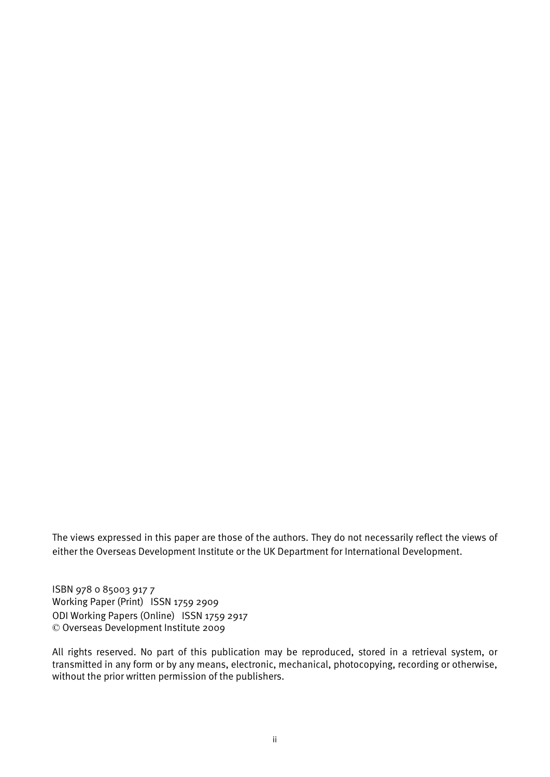The views expressed in this paper are those of the authors. They do not necessarily reflect the views of either the Overseas Development Institute or the UK Department for International Development.

ISBN 978 0 85003 917 7 Working Paper (Print) ISSN 1759 2909 ODI Working Papers (Online) ISSN 1759 2917 © Overseas Development Institute 2009

All rights reserved. No part of this publication may be reproduced, stored in a retrieval system, or transmitted in any form or by any means, electronic, mechanical, photocopying, recording or otherwise, without the prior written permission of the publishers.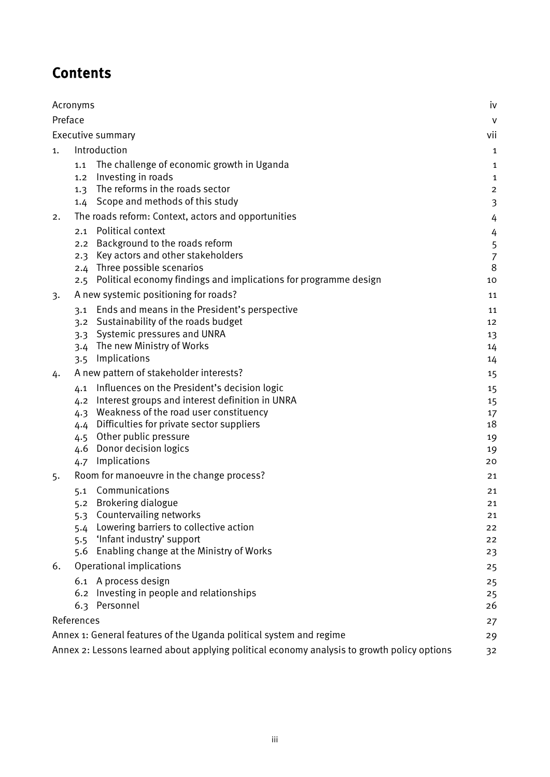# **Contents**

| Acronyms                                                                  |                                                     |                                                                                             | iv             |  |
|---------------------------------------------------------------------------|-----------------------------------------------------|---------------------------------------------------------------------------------------------|----------------|--|
| Preface                                                                   |                                                     |                                                                                             | $\mathsf{V}$   |  |
| Executive summary                                                         |                                                     |                                                                                             |                |  |
| 1.                                                                        | Introduction                                        |                                                                                             |                |  |
|                                                                           | 1.1                                                 | The challenge of economic growth in Uganda                                                  | 1              |  |
|                                                                           | 1,2                                                 | Investing in roads                                                                          | $\mathbf{1}$   |  |
|                                                                           | 1.3                                                 | The reforms in the roads sector                                                             | $\overline{2}$ |  |
|                                                                           |                                                     | 1.4 Scope and methods of this study                                                         | 3              |  |
| 2.                                                                        | The roads reform: Context, actors and opportunities |                                                                                             | 4              |  |
|                                                                           | 2.1                                                 | Political context                                                                           | 4              |  |
|                                                                           | 2.2                                                 | Background to the roads reform                                                              | 5              |  |
|                                                                           | 2.3                                                 | Key actors and other stakeholders                                                           | $\overline{7}$ |  |
|                                                                           |                                                     | 2.4 Three possible scenarios                                                                | 8              |  |
|                                                                           | 2.5                                                 | Political economy findings and implications for programme design                            | 10<br>11       |  |
| 3.                                                                        | A new systemic positioning for roads?               |                                                                                             |                |  |
|                                                                           |                                                     | 3.1 Ends and means in the President's perspective<br>3.2 Sustainability of the roads budget | 11             |  |
|                                                                           | 3.3                                                 | Systemic pressures and UNRA                                                                 | 12<br>13       |  |
|                                                                           |                                                     | 3.4 The new Ministry of Works                                                               | 14             |  |
|                                                                           | 3.5                                                 | Implications                                                                                | 14             |  |
| 4.                                                                        | A new pattern of stakeholder interests?             |                                                                                             | 15             |  |
|                                                                           |                                                     | 4.1 Influences on the President's decision logic                                            | 15             |  |
|                                                                           | 4.2                                                 | Interest groups and interest definition in UNRA                                             | 15             |  |
|                                                                           | 4.3                                                 | Weakness of the road user constituency                                                      | 17             |  |
|                                                                           | 4.4                                                 | Difficulties for private sector suppliers                                                   | 18             |  |
|                                                                           | 4.5                                                 | Other public pressure                                                                       | 19             |  |
|                                                                           | 4.6                                                 | Donor decision logics<br>Implications                                                       | 19<br>20       |  |
|                                                                           | 4.7                                                 |                                                                                             |                |  |
| 5.                                                                        | Room for manoeuvre in the change process?           |                                                                                             | 21             |  |
|                                                                           | 5.1                                                 | Communications<br>5.2 Brokering dialogue                                                    | 21<br>21       |  |
|                                                                           |                                                     | 5.3 Countervailing networks                                                                 | 21             |  |
|                                                                           | 5.4                                                 | Lowering barriers to collective action                                                      | 22             |  |
|                                                                           | 5.5                                                 | 'Infant industry' support                                                                   | 22             |  |
|                                                                           | 5.6                                                 | Enabling change at the Ministry of Works                                                    | 23             |  |
| 6.                                                                        | Operational implications                            |                                                                                             | 25             |  |
|                                                                           |                                                     | 6.1 A process design                                                                        | 25             |  |
|                                                                           |                                                     | 6.2 Investing in people and relationships                                                   | 25             |  |
|                                                                           |                                                     | 6.3 Personnel                                                                               | 26             |  |
| References                                                                |                                                     |                                                                                             | 27             |  |
| Annex 1: General features of the Uganda political system and regime<br>29 |                                                     |                                                                                             |                |  |
|                                                                           |                                                     | Annex 2: Lessons learned about applying political economy analysis to growth policy options | 32             |  |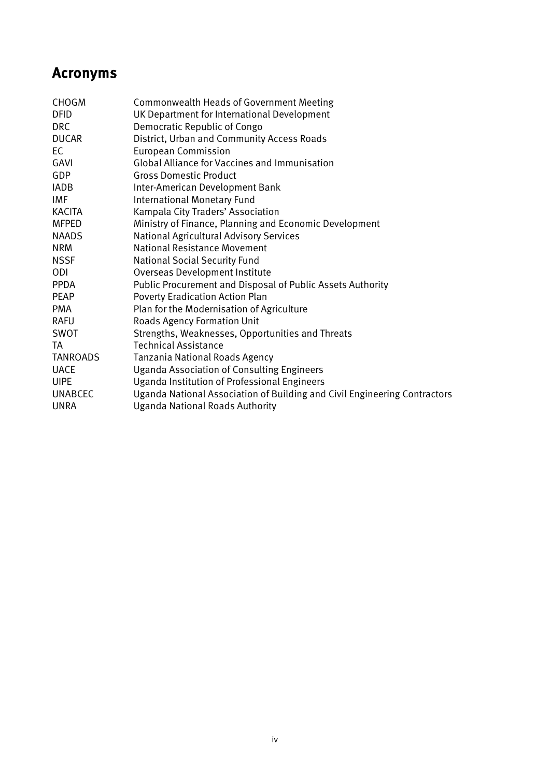# <span id="page-4-0"></span>Acronyms

| <b>CHOGM</b>    | Commonwealth Heads of Government Meeting                                  |
|-----------------|---------------------------------------------------------------------------|
| <b>DFID</b>     | UK Department for International Development                               |
| DRC             | Democratic Republic of Congo                                              |
| <b>DUCAR</b>    | District, Urban and Community Access Roads                                |
| EC              | <b>European Commission</b>                                                |
| GAVI            | <b>Global Alliance for Vaccines and Immunisation</b>                      |
| GDP             | <b>Gross Domestic Product</b>                                             |
| <b>IADB</b>     | Inter-American Development Bank                                           |
| IMF             | <b>International Monetary Fund</b>                                        |
| KACITA          | Kampala City Traders' Association                                         |
| <b>MFPED</b>    | Ministry of Finance, Planning and Economic Development                    |
| <b>NAADS</b>    | <b>National Agricultural Advisory Services</b>                            |
| <b>NRM</b>      | National Resistance Movement                                              |
| <b>NSSF</b>     | <b>National Social Security Fund</b>                                      |
| ODI             | Overseas Development Institute                                            |
| <b>PPDA</b>     | Public Procurement and Disposal of Public Assets Authority                |
| <b>PEAP</b>     | Poverty Eradication Action Plan                                           |
| <b>PMA</b>      | Plan for the Modernisation of Agriculture                                 |
| <b>RAFU</b>     | <b>Roads Agency Formation Unit</b>                                        |
| SWOT            | Strengths, Weaknesses, Opportunities and Threats                          |
| TA              | <b>Technical Assistance</b>                                               |
| <b>TANROADS</b> | Tanzania National Roads Agency                                            |
| <b>UACE</b>     | <b>Uganda Association of Consulting Engineers</b>                         |
| <b>UIPE</b>     | Uganda Institution of Professional Engineers                              |
| <b>UNABCEC</b>  | Uganda National Association of Building and Civil Engineering Contractors |
| <b>UNRA</b>     | <b>Uganda National Roads Authority</b>                                    |
|                 |                                                                           |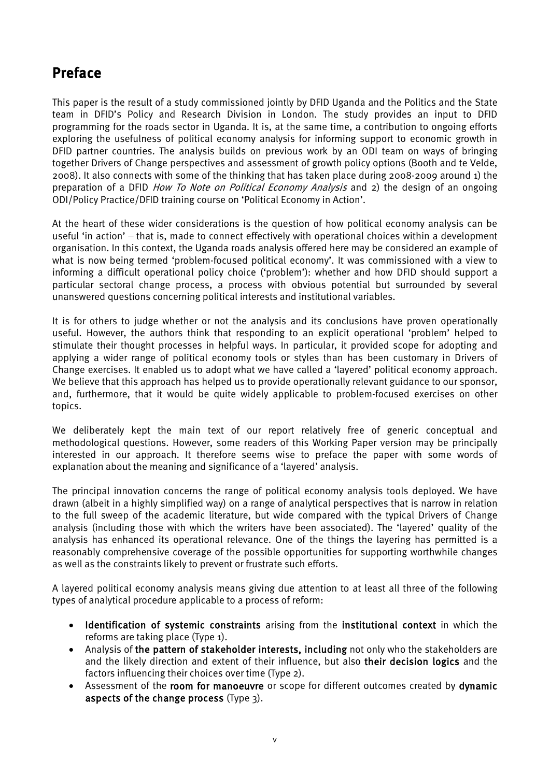# <span id="page-5-0"></span>Preface

This paper is the result of a study commissioned jointly by DFID Uganda and the Politics and the State team in DFID's Policy and Research Division in London. The study provides an input to DFID programming for the roads sector in Uganda. It is, at the same time, a contribution to ongoing efforts exploring the usefulness of political economy analysis for informing support to economic growth in DFID partner countries. The analysis builds on previous work by an ODI team on ways of bringing together Drivers of Change perspectives and assessment of growth policy options (Booth and te Velde, 2008). It also connects with some of the thinking that has taken place during 2008-2009 around 1) the preparation of a DFID *How To Note on Political Economy Analysis* and 2) the design of an ongoing ODI/Policy Practice/DFID training course on 'Political Economy in Action'.

At the heart of these wider considerations is the question of how political economy analysis can be useful 'in action' – that is, made to connect effectively with operational choices within a development organisation. In this context, the Uganda roads analysis offered here may be considered an example of what is now being termed 'problem-focused political economy'. It was commissioned with a view to informing a difficult operational policy choice ('problem'): whether and how DFID should support a particular sectoral change process, a process with obvious potential but surrounded by several unanswered questions concerning political interests and institutional variables.

It is for others to judge whether or not the analysis and its conclusions have proven operationally useful. However, the authors think that responding to an explicit operational 'problem' helped to stimulate their thought processes in helpful ways. In particular, it provided scope for adopting and applying a wider range of political economy tools or styles than has been customary in Drivers of Change exercises. It enabled us to adopt what we have called a 'layered' political economy approach. We believe that this approach has helped us to provide operationally relevant guidance to our sponsor, and, furthermore, that it would be quite widely applicable to problem-focused exercises on other topics.

We deliberately kept the main text of our report relatively free of generic conceptual and methodological questions. However, some readers of this Working Paper version may be principally interested in our approach. It therefore seems wise to preface the paper with some words of explanation about the meaning and significance of a 'layered' analysis.

The principal innovation concerns the range of political economy analysis tools deployed. We have drawn (albeit in a highly simplified way) on a range of analytical perspectives that is narrow in relation to the full sweep of the academic literature, but wide compared with the typical Drivers of Change analysis (including those with which the writers have been associated). The 'layered' quality of the analysis has enhanced its operational relevance. One of the things the layering has permitted is a reasonably comprehensive coverage of the possible opportunities for supporting worthwhile changes as well as the constraints likely to prevent or frustrate such efforts.

A layered political economy analysis means giving due attention to at least all three of the following types of analytical procedure applicable to a process of reform:

- Identification of systemic constraints arising from the institutional context in which the reforms are taking place (Type 1).
- Analysis of the pattern of stakeholder interests, including not only who the stakeholders are and the likely direction and extent of their influence, but also their decision logics and the factors influencing their choices over time (Type 2).
- Assessment of the room for manoeuvre or scope for different outcomes created by dynamic aspects of the change process (Type 3).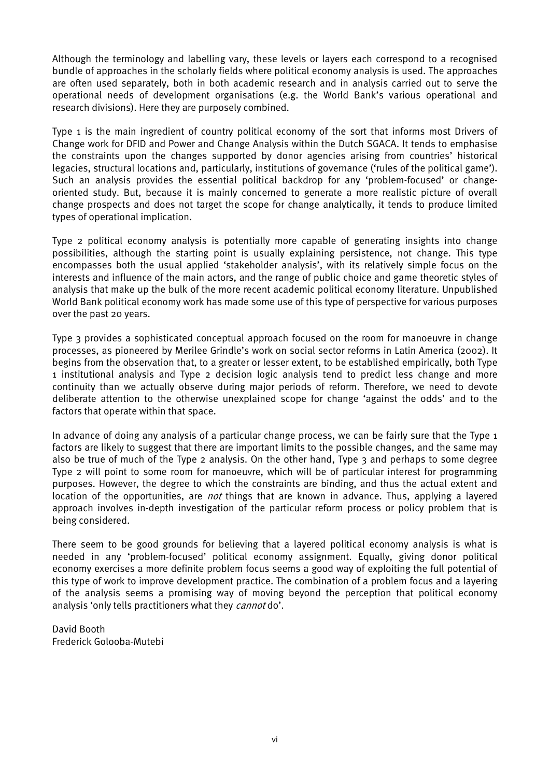Although the terminology and labelling vary, these levels or layers each correspond to a recognised bundle of approaches in the scholarly fields where political economy analysis is used. The approaches are often used separately, both in both academic research and in analysis carried out to serve the operational needs of development organisations (e.g. the World Bank's various operational and research divisions). Here they are purposely combined.

Type 1 is the main ingredient of country political economy of the sort that informs most Drivers of Change work for DFID and Power and Change Analysis within the Dutch SGACA. It tends to emphasise the constraints upon the changes supported by donor agencies arising from countries' historical legacies, structural locations and, particularly, institutions of governance ('rules of the political game'). Such an analysis provides the essential political backdrop for any 'problem-focused' or changeoriented study. But, because it is mainly concerned to generate a more realistic picture of overall change prospects and does not target the scope for change analytically, it tends to produce limited types of operational implication.

Type 2 political economy analysis is potentially more capable of generating insights into change possibilities, although the starting point is usually explaining persistence, not change. This type encompasses both the usual applied 'stakeholder analysis', with its relatively simple focus on the interests and influence of the main actors, and the range of public choice and game theoretic styles of analysis that make up the bulk of the more recent academic political economy literature. Unpublished World Bank political economy work has made some use of this type of perspective for various purposes over the past 20 years.

Type 3 provides a sophisticated conceptual approach focused on the room for manoeuvre in change processes, as pioneered by Merilee Grindle's work on social sector reforms in Latin America (2002). It begins from the observation that, to a greater or lesser extent, to be established empirically, both Type 1 institutional analysis and Type 2 decision logic analysis tend to predict less change and more continuity than we actually observe during major periods of reform. Therefore, we need to devote deliberate attention to the otherwise unexplained scope for change 'against the odds' and to the factors that operate within that space.

In advance of doing any analysis of a particular change process, we can be fairly sure that the Type 1 factors are likely to suggest that there are important limits to the possible changes, and the same may also be true of much of the Type 2 analysis. On the other hand, Type 3 and perhaps to some degree Type 2 will point to some room for manoeuvre, which will be of particular interest for programming purposes. However, the degree to which the constraints are binding, and thus the actual extent and location of the opportunities, are *not* things that are known in advance. Thus, applying a layered approach involves in-depth investigation of the particular reform process or policy problem that is being considered.

There seem to be good grounds for believing that a layered political economy analysis is what is needed in any 'problem-focused' political economy assignment. Equally, giving donor political economy exercises a more definite problem focus seems a good way of exploiting the full potential of this type of work to improve development practice. The combination of a problem focus and a layering of the analysis seems a promising way of moving beyond the perception that political economy analysis 'only tells practitioners what they *cannot* do'.

David Booth Frederick Golooba-Mutebi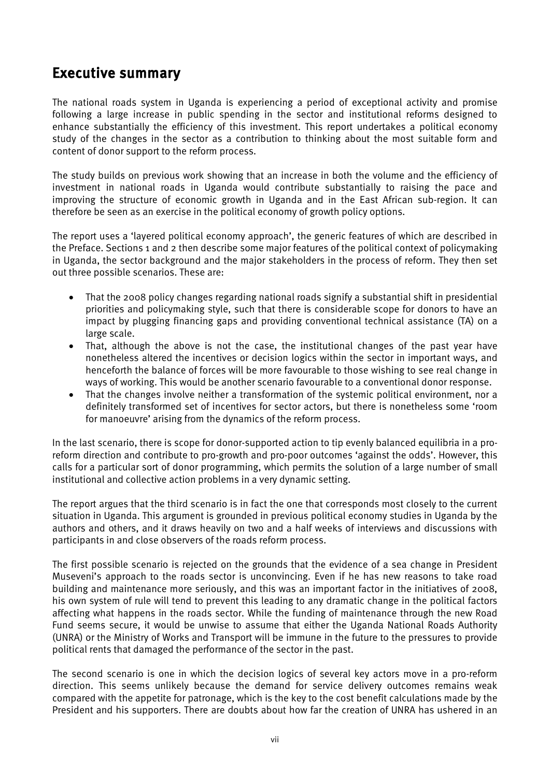# <span id="page-7-0"></span>Executive summary

The national roads system in Uganda is experiencing a period of exceptional activity and promise following a large increase in public spending in the sector and institutional reforms designed to enhance substantially the efficiency of this investment. This report undertakes a political economy study of the changes in the sector as a contribution to thinking about the most suitable form and content of donor support to the reform process.

The study builds on previous work showing that an increase in both the volume and the efficiency of investment in national roads in Uganda would contribute substantially to raising the pace and improving the structure of economic growth in Uganda and in the East African sub-region. It can therefore be seen as an exercise in the political economy of growth policy options.

The report uses a 'layered political economy approach', the generic features of which are described in the Preface. Sections 1 and 2 then describe some major features of the political context of policymaking in Uganda, the sector background and the major stakeholders in the process of reform. They then set out three possible scenarios. These are:

- That the 2008 policy changes regarding national roads signify a substantial shift in presidential priorities and policymaking style, such that there is considerable scope for donors to have an impact by plugging financing gaps and providing conventional technical assistance (TA) on a large scale.
- That, although the above is not the case, the institutional changes of the past year have nonetheless altered the incentives or decision logics within the sector in important ways, and henceforth the balance of forces will be more favourable to those wishing to see real change in ways of working. This would be another scenario favourable to a conventional donor response.
- That the changes involve neither a transformation of the systemic political environment, nor a definitely transformed set of incentives for sector actors, but there is nonetheless some 'room for manoeuvre' arising from the dynamics of the reform process.

In the last scenario, there is scope for donor-supported action to tip evenly balanced equilibria in a proreform direction and contribute to pro-growth and pro-poor outcomes 'against the odds'. However, this calls for a particular sort of donor programming, which permits the solution of a large number of small institutional and collective action problems in a very dynamic setting.

The report argues that the third scenario is in fact the one that corresponds most closely to the current situation in Uganda. This argument is grounded in previous political economy studies in Uganda by the authors and others, and it draws heavily on two and a half weeks of interviews and discussions with participants in and close observers of the roads reform process.

The first possible scenario is rejected on the grounds that the evidence of a sea change in President Museveni's approach to the roads sector is unconvincing. Even if he has new reasons to take road building and maintenance more seriously, and this was an important factor in the initiatives of 2008, his own system of rule will tend to prevent this leading to any dramatic change in the political factors affecting what happens in the roads sector. While the funding of maintenance through the new Road Fund seems secure, it would be unwise to assume that either the Uganda National Roads Authority (UNRA) or the Ministry of Works and Transport will be immune in the future to the pressures to provide political rents that damaged the performance of the sector in the past.

The second scenario is one in which the decision logics of several key actors move in a pro-reform direction. This seems unlikely because the demand for service delivery outcomes remains weak compared with the appetite for patronage, which is the key to the cost benefit calculations made by the President and his supporters. There are doubts about how far the creation of UNRA has ushered in an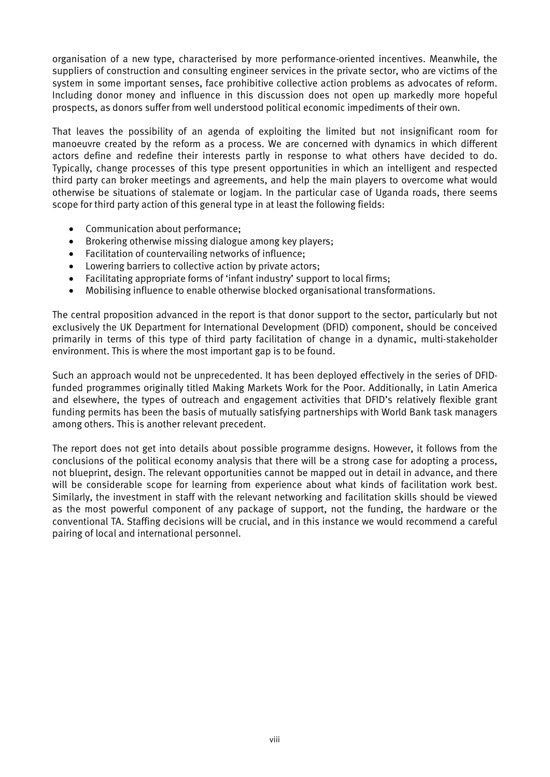organisation of a new type, characterised by more performance-oriented incentives. Meanwhile, the suppliers of construction and consulting engineer services in the private sector, who are victims of the system in some important senses, face prohibitive collective action problems as advocates of reform. Including donor money and influence in this discussion does not open up markedly more hopeful prospects, as donors suffer from well understood political economic impediments of their own.

That leaves the possibility of an agenda of exploiting the limited but not insignificant room for manoeuvre created by the reform as a process. We are concerned with dynamics in which different actors define and redefine their interests partly in response to what others have decided to do. Typically, change processes of this type present opportunities in which an intelligent and respected third party can broker meetings and agreements, and help the main players to overcome what would otherwise be situations of stalemate or logjam. In the particular case of Uganda roads, there seems scope for third party action of this general type in at least the following fields:

- Communication about performance;
- Brokering otherwise missing dialogue among key players;
- Facilitation of countervailing networks of influence;
- Lowering barriers to collective action by private actors;
- Facilitating appropriate forms of 'infant industry' support to local firms;
- Mobilising influence to enable otherwise blocked organisational transformations.

The central proposition advanced in the report is that donor support to the sector, particularly but not exclusively the UK Department for International Development (DFID) component, should be conceived primarily in terms of this type of third party facilitation of change in a dynamic, multi-stakeholder environment. This is where the most important gap is to be found.

Such an approach would not be unprecedented. It has been deployed effectively in the series of DFIDfunded programmes originally titled Making Markets Work for the Poor. Additionally, in Latin America and elsewhere, the types of outreach and engagement activities that DFID's relatively flexible grant funding permits has been the basis of mutually satisfying partnerships with World Bank task managers among others. This is another relevant precedent.

The report does not get into details about possible programme designs. However, it follows from the conclusions of the political economy analysis that there will be a strong case for adopting a process, not blueprint, design. The relevant opportunities cannot be mapped out in detail in advance, and there will be considerable scope for learning from experience about what kinds of facilitation work best. Similarly, the investment in staff with the relevant networking and facilitation skills should be viewed as the most powerful component of any package of support, not the funding, the hardware or the conventional TA. Staffing decisions will be crucial, and in this instance we would recommend a careful pairing of local and international personnel.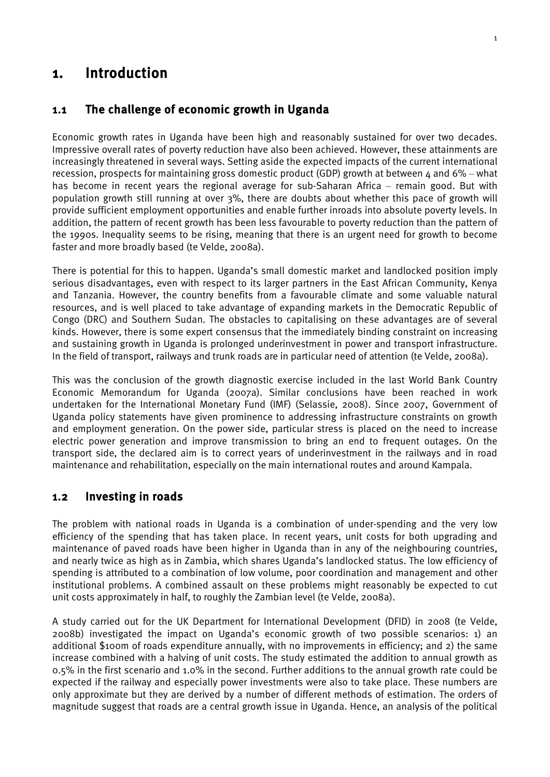## <span id="page-9-0"></span>1. Introduction

#### <span id="page-9-1"></span>1.1 The challenge of economic growth in Uganda

Economic growth rates in Uganda have been high and reasonably sustained for over two decades. Impressive overall rates of poverty reduction have also been achieved. However, these attainments are increasingly threatened in several ways. Setting aside the expected impacts of the current international recession, prospects for maintaining gross domestic product (GDP) growth at between  $4$  and 6% – what has become in recent years the regional average for sub-Saharan Africa – remain good. But with population growth still running at over 3%, there are doubts about whether this pace of growth will provide sufficient employment opportunities and enable further inroads into absolute poverty levels. In addition, the pattern of recent growth has been less favourable to poverty reduction than the pattern of the 1990s. Inequality seems to be rising, meaning that there is an urgent need for growth to become faster and more broadly based (te Velde, 2008a).

There is potential for this to happen. Uganda's small domestic market and landlocked position imply serious disadvantages, even with respect to its larger partners in the East African Community, Kenya and Tanzania. However, the country benefits from a favourable climate and some valuable natural resources, and is well placed to take advantage of expanding markets in the Democratic Republic of Congo (DRC) and Southern Sudan. The obstacles to capitalising on these advantages are of several kinds. However, there is some expert consensus that the immediately binding constraint on increasing and sustaining growth in Uganda is prolonged underinvestment in power and transport infrastructure. In the field of transport, railways and trunk roads are in particular need of attention (te Velde, 2008a).

This was the conclusion of the growth diagnostic exercise included in the last World Bank Country Economic Memorandum for Uganda (2007a). Similar conclusions have been reached in work undertaken for the International Monetary Fund (IMF) (Selassie, 2008). Since 2007, Government of Uganda policy statements have given prominence to addressing infrastructure constraints on growth and employment generation. On the power side, particular stress is placed on the need to increase electric power generation and improve transmission to bring an end to frequent outages. On the transport side, the declared aim is to correct years of underinvestment in the railways and in road maintenance and rehabilitation, especially on the main international routes and around Kampala.

#### <span id="page-9-2"></span>1.2 Investing in roads

The problem with national roads in Uganda is a combination of under-spending and the very low efficiency of the spending that has taken place. In recent years, unit costs for both upgrading and maintenance of paved roads have been higher in Uganda than in any of the neighbouring countries, and nearly twice as high as in Zambia, which shares Uganda's landlocked status. The low efficiency of spending is attributed to a combination of low volume, poor coordination and management and other institutional problems. A combined assault on these problems might reasonably be expected to cut unit costs approximately in half, to roughly the Zambian level (te Velde, 2008a).

A study carried out for the UK Department for International Development (DFID) in 2008 (te Velde, 2008b) investigated the impact on Uganda's economic growth of two possible scenarios: 1) an additional \$100m of roads expenditure annually, with no improvements in efficiency; and 2) the same increase combined with a halving of unit costs. The study estimated the addition to annual growth as 0.5% in the first scenario and 1.0% in the second. Further additions to the annual growth rate could be expected if the railway and especially power investments were also to take place. These numbers are only approximate but they are derived by a number of different methods of estimation. The orders of magnitude suggest that roads are a central growth issue in Uganda. Hence, an analysis of the political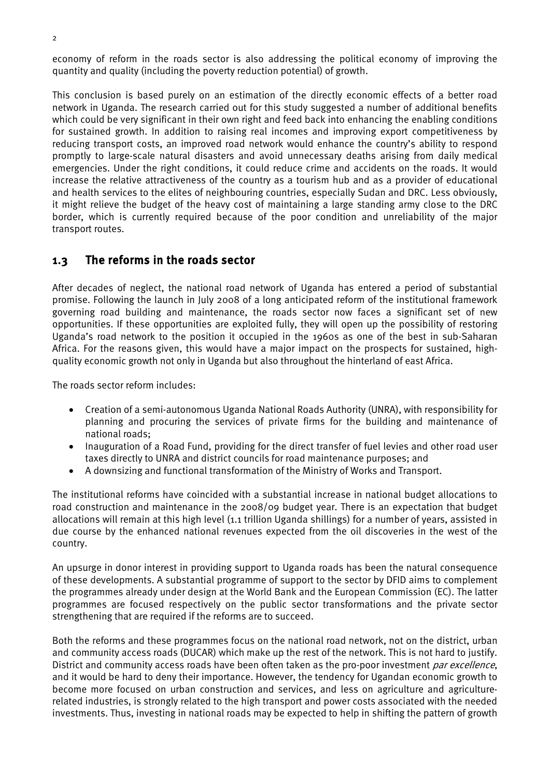economy of reform in the roads sector is also addressing the political economy of improving the quantity and quality (including the poverty reduction potential) of growth.

This conclusion is based purely on an estimation of the directly economic effects of a better road network in Uganda. The research carried out for this study suggested a number of additional benefits which could be very significant in their own right and feed back into enhancing the enabling conditions for sustained growth. In addition to raising real incomes and improving export competitiveness by reducing transport costs, an improved road network would enhance the country's ability to respond promptly to large-scale natural disasters and avoid unnecessary deaths arising from daily medical emergencies. Under the right conditions, it could reduce crime and accidents on the roads. It would increase the relative attractiveness of the country as a tourism hub and as a provider of educational and health services to the elites of neighbouring countries, especially Sudan and DRC. Less obviously, it might relieve the budget of the heavy cost of maintaining a large standing army close to the DRC border, which is currently required because of the poor condition and unreliability of the major transport routes.

#### <span id="page-10-0"></span>1.3 The reforms in the roads sector

After decades of neglect, the national road network of Uganda has entered a period of substantial promise. Following the launch in July 2008 of a long anticipated reform of the institutional framework governing road building and maintenance, the roads sector now faces a significant set of new opportunities. If these opportunities are exploited fully, they will open up the possibility of restoring Uganda's road network to the position it occupied in the 1960s as one of the best in sub-Saharan Africa. For the reasons given, this would have a major impact on the prospects for sustained, highquality economic growth not only in Uganda but also throughout the hinterland of east Africa.

The roads sector reform includes:

- Creation of a semi-autonomous Uganda National Roads Authority (UNRA), with responsibility for planning and procuring the services of private firms for the building and maintenance of national roads;
- Inauguration of a Road Fund, providing for the direct transfer of fuel levies and other road user taxes directly to UNRA and district councils for road maintenance purposes; and
- A downsizing and functional transformation of the Ministry of Works and Transport.

The institutional reforms have coincided with a substantial increase in national budget allocations to road construction and maintenance in the 2008/09 budget year. There is an expectation that budget allocations will remain at this high level (1.1 trillion Uganda shillings) for a number of years, assisted in due course by the enhanced national revenues expected from the oil discoveries in the west of the country.

An upsurge in donor interest in providing support to Uganda roads has been the natural consequence of these developments. A substantial programme of support to the sector by DFID aims to complement the programmes already under design at the World Bank and the European Commission (EC). The latter programmes are focused respectively on the public sector transformations and the private sector strengthening that are required if the reforms are to succeed.

Both the reforms and these programmes focus on the national road network, not on the district, urban and community access roads (DUCAR) which make up the rest of the network. This is not hard to justify. District and community access roads have been often taken as the pro-poor investment par excellence, and it would be hard to deny their importance. However, the tendency for Ugandan economic growth to become more focused on urban construction and services, and less on agriculture and agriculturerelated industries, is strongly related to the high transport and power costs associated with the needed investments. Thus, investing in national roads may be expected to help in shifting the pattern of growth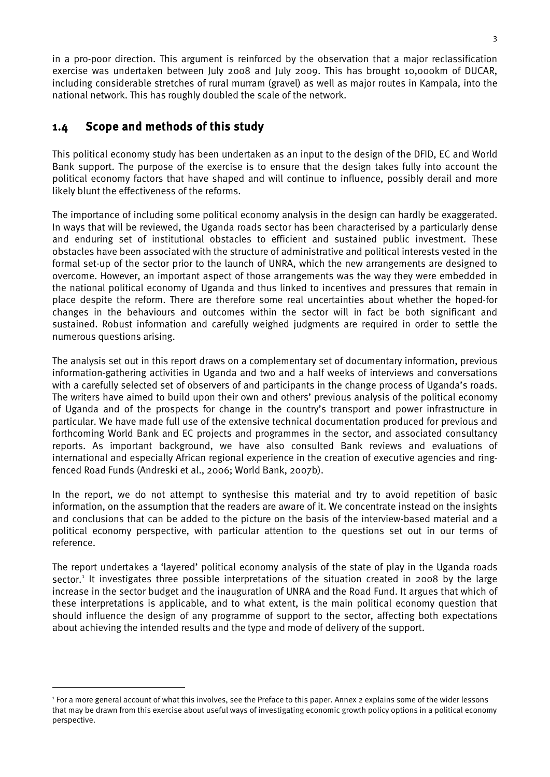in a pro-poor direction. This argument is reinforced by the observation that a major reclassification exercise was undertaken between July 2008 and July 2009. This has brought 10,000km of DUCAR, including considerable stretches of rural murram (gravel) as well as major routes in Kampala, into the national network. This has roughly doubled the scale of the network.

#### <span id="page-11-0"></span>1.4 Scope and methods of this study

<u>.</u>

This political economy study has been undertaken as an input to the design of the DFID, EC and World Bank support. The purpose of the exercise is to ensure that the design takes fully into account the political economy factors that have shaped and will continue to influence, possibly derail and more likely blunt the effectiveness of the reforms.

The importance of including some political economy analysis in the design can hardly be exaggerated. In ways that will be reviewed, the Uganda roads sector has been characterised by a particularly dense and enduring set of institutional obstacles to efficient and sustained public investment. These obstacles have been associated with the structure of administrative and political interests vested in the formal set-up of the sector prior to the launch of UNRA, which the new arrangements are designed to overcome. However, an important aspect of those arrangements was the way they were embedded in the national political economy of Uganda and thus linked to incentives and pressures that remain in place despite the reform. There are therefore some real uncertainties about whether the hoped-for changes in the behaviours and outcomes within the sector will in fact be both significant and sustained. Robust information and carefully weighed judgments are required in order to settle the numerous questions arising.

The analysis set out in this report draws on a complementary set of documentary information, previous information-gathering activities in Uganda and two and a half weeks of interviews and conversations with a carefully selected set of observers of and participants in the change process of Uganda's roads. The writers have aimed to build upon their own and others' previous analysis of the political economy of Uganda and of the prospects for change in the country's transport and power infrastructure in particular. We have made full use of the extensive technical documentation produced for previous and forthcoming World Bank and EC projects and programmes in the sector, and associated consultancy reports. As important background, we have also consulted Bank reviews and evaluations of international and especially African regional experience in the creation of executive agencies and ringfenced Road Funds (Andreski et al., 2006; World Bank, 2007b).

In the report, we do not attempt to synthesise this material and try to avoid repetition of basic information, on the assumption that the readers are aware of it. We concentrate instead on the insights and conclusions that can be added to the picture on the basis of the interview-based material and a political economy perspective, with particular attention to the questions set out in our terms of reference.

The report undertakes a 'layered' political economy analysis of the state of play in the Uganda roads sector.<sup>[1](#page-11-1)</sup> It investigates three possible interpretations of the situation created in 2008 by the large increase in the sector budget and the inauguration of UNRA and the Road Fund. It argues that which of these interpretations is applicable, and to what extent, is the main political economy question that should influence the design of any programme of support to the sector, affecting both expectations about achieving the intended results and the type and mode of delivery of the support.

<span id="page-11-1"></span><sup>&</sup>lt;sup>1</sup> For a more general account of what this involves, see the Preface to this paper. Annex 2 explains some of the wider lessons that may be drawn from this exercise about useful ways of investigating economic growth policy options in a political economy perspective.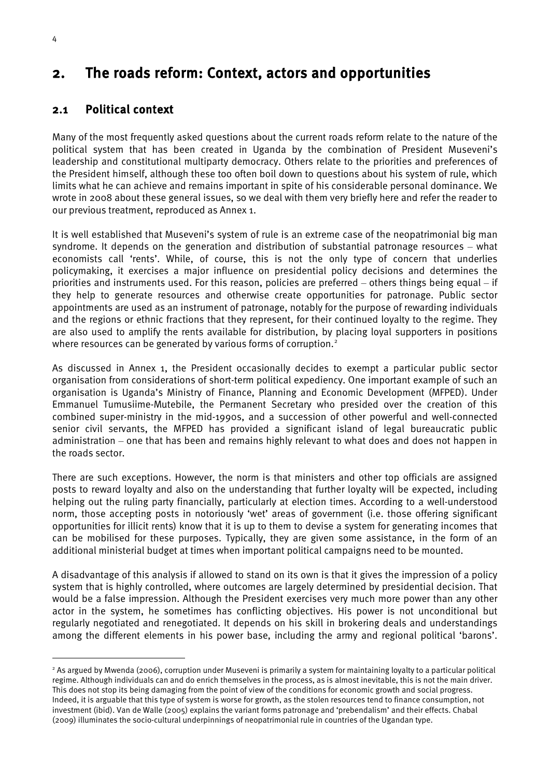# <span id="page-12-0"></span>2. The roads reform: Context, actors and opportunities

#### <span id="page-12-1"></span>2.1 Political context

Many of the most frequently asked questions about the current roads reform relate to the nature of the political system that has been created in Uganda by the combination of President Museveni's leadership and constitutional multiparty democracy. Others relate to the priorities and preferences of the President himself, although these too often boil down to questions about his system of rule, which limits what he can achieve and remains important in spite of his considerable personal dominance. We wrote in 2008 about these general issues, so we deal with them very briefly here and refer the reader to our previous treatment, reproduced as Annex 1.

It is well established that Museveni's system of rule is an extreme case of the neopatrimonial big man syndrome. It depends on the generation and distribution of substantial patronage resources – what economists call 'rents'. While, of course, this is not the only type of concern that underlies policymaking, it exercises a major influence on presidential policy decisions and determines the priorities and instruments used. For this reason, policies are preferred – others things being equal – if they help to generate resources and otherwise create opportunities for patronage. Public sector appointments are used as an instrument of patronage, notably for the purpose of rewarding individuals and the regions or ethnic fractions that they represent, for their continued loyalty to the regime. They are also used to amplify the rents available for distribution, by placing loyal supporters in positions where resources can be generated by various forms of corruption.<sup>[2](#page-12-2)</sup>

As discussed in Annex 1, the President occasionally decides to exempt a particular public sector organisation from considerations of short-term political expediency. One important example of such an organisation is Uganda's Ministry of Finance, Planning and Economic Development (MFPED). Under Emmanuel Tumusiime-Mutebile, the Permanent Secretary who presided over the creation of this combined super-ministry in the mid-1990s, and a succession of other powerful and well-connected senior civil servants, the MFPED has provided a significant island of legal bureaucratic public administration – one that has been and remains highly relevant to what does and does not happen in the roads sector.

There are such exceptions. However, the norm is that ministers and other top officials are assigned posts to reward loyalty and also on the understanding that further loyalty will be expected, including helping out the ruling party financially, particularly at election times. According to a well-understood norm, those accepting posts in notoriously 'wet' areas of government (i.e. those offering significant opportunities for illicit rents) know that it is up to them to devise a system for generating incomes that can be mobilised for these purposes. Typically, they are given some assistance, in the form of an additional ministerial budget at times when important political campaigns need to be mounted.

A disadvantage of this analysis if allowed to stand on its own is that it gives the impression of a policy system that is highly controlled, where outcomes are largely determined by presidential decision. That would be a false impression. Although the President exercises very much more power than any other actor in the system, he sometimes has conflicting objectives. His power is not unconditional but regularly negotiated and renegotiated. It depends on his skill in brokering deals and understandings among the different elements in his power base, including the army and regional political 'barons'.

<span id="page-12-2"></span><sup>&</sup>lt;sup>2</sup> As argued by Mwenda (2006), corruption under Museveni is primarily a system for maintaining loyalty to a particular political regime. Although individuals can and do enrich themselves in the process, as is almost inevitable, this is not the main driver. This does not stop its being damaging from the point of view of the conditions for economic growth and social progress. Indeed, it is arguable that this type of system is worse for growth, as the stolen resources tend to finance consumption, not investment (ibid). Van de Walle (2005) explains the variant forms patronage and 'prebendalism' and their effects. Chabal (2009) illuminates the socio-cultural underpinnings of neopatrimonial rule in countries of the Ugandan type.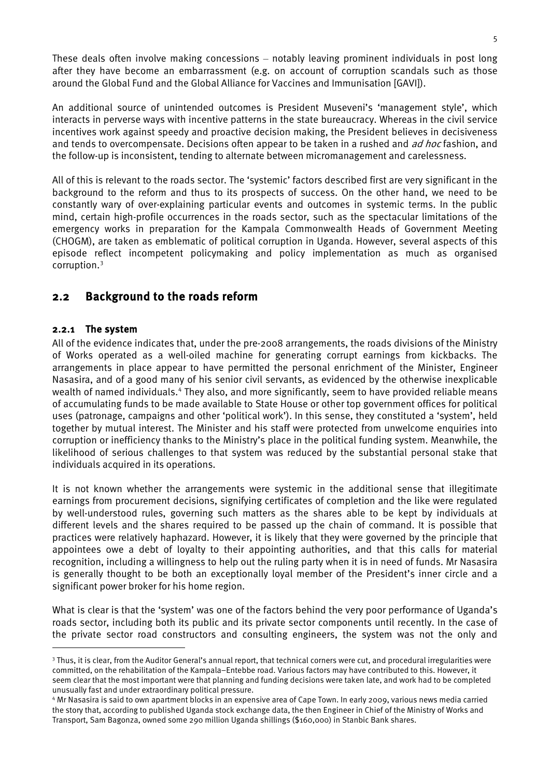These deals often involve making concessions – notably leaving prominent individuals in post long after they have become an embarrassment (e.g. on account of corruption scandals such as those around the Global Fund and the Global Alliance for Vaccines and Immunisation [GAVI]).

An additional source of unintended outcomes is President Museveni's 'management style', which interacts in perverse ways with incentive patterns in the state bureaucracy. Whereas in the civil service incentives work against speedy and proactive decision making, the President believes in decisiveness and tends to overcompensate. Decisions often appear to be taken in a rushed and *ad hoc* fashion, and the follow-up is inconsistent, tending to alternate between micromanagement and carelessness.

All of this is relevant to the roads sector. The 'systemic' factors described first are very significant in the background to the reform and thus to its prospects of success. On the other hand, we need to be constantly wary of over-explaining particular events and outcomes in systemic terms. In the public mind, certain high-profile occurrences in the roads sector, such as the spectacular limitations of the emergency works in preparation for the Kampala Commonwealth Heads of Government Meeting (CHOGM), are taken as emblematic of political corruption in Uganda. However, several aspects of this episode reflect incompetent policymaking and policy implementation as much as organised corruption.[3](#page-13-1)

#### <span id="page-13-0"></span>2.2 Background to the roads reform

#### 2.2.1 The system

<u>.</u>

All of the evidence indicates that, under the pre-2008 arrangements, the roads divisions of the Ministry of Works operated as a well-oiled machine for generating corrupt earnings from kickbacks. The arrangements in place appear to have permitted the personal enrichment of the Minister, Engineer Nasasira, and of a good many of his senior civil servants, as evidenced by the otherwise inexplicable wealth of named individuals.[4](#page-13-2) They also, and more significantly, seem to have provided reliable means of accumulating funds to be made available to State House or other top government offices for political uses (patronage, campaigns and other 'political work'). In this sense, they constituted a 'system', held together by mutual interest. The Minister and his staff were protected from unwelcome enquiries into corruption or inefficiency thanks to the Ministry's place in the political funding system. Meanwhile, the likelihood of serious challenges to that system was reduced by the substantial personal stake that individuals acquired in its operations.

It is not known whether the arrangements were systemic in the additional sense that illegitimate earnings from procurement decisions, signifying certificates of completion and the like were regulated by well-understood rules, governing such matters as the shares able to be kept by individuals at different levels and the shares required to be passed up the chain of command. It is possible that practices were relatively haphazard. However, it is likely that they were governed by the principle that appointees owe a debt of loyalty to their appointing authorities, and that this calls for material recognition, including a willingness to help out the ruling party when it is in need of funds. Mr Nasasira is generally thought to be both an exceptionally loyal member of the President's inner circle and a significant power broker for his home region.

What is clear is that the 'system' was one of the factors behind the very poor performance of Uganda's roads sector, including both its public and its private sector components until recently. In the case of the private sector road constructors and consulting engineers, the system was not the only and

<span id="page-13-1"></span><sup>&</sup>lt;sup>3</sup> Thus, it is clear, from the Auditor General's annual report, that technical corners were cut, and procedural irregularities were committed, on the rehabilitation of the Kampala–Entebbe road. Various factors may have contributed to this. However, it seem clear that the most important were that planning and funding decisions were taken late, and work had to be completed unusually fast and under extraordinary political pressure.

<span id="page-13-2"></span><sup>4</sup> Mr Nasasira is said to own apartment blocks in an expensive area of Cape Town. In early 2009, various news media carried the story that, according to published Uganda stock exchange data, the then Engineer in Chief of the Ministry of Works and Transport, Sam Bagonza, owned some 290 million Uganda shillings (\$160,000) in Stanbic Bank shares.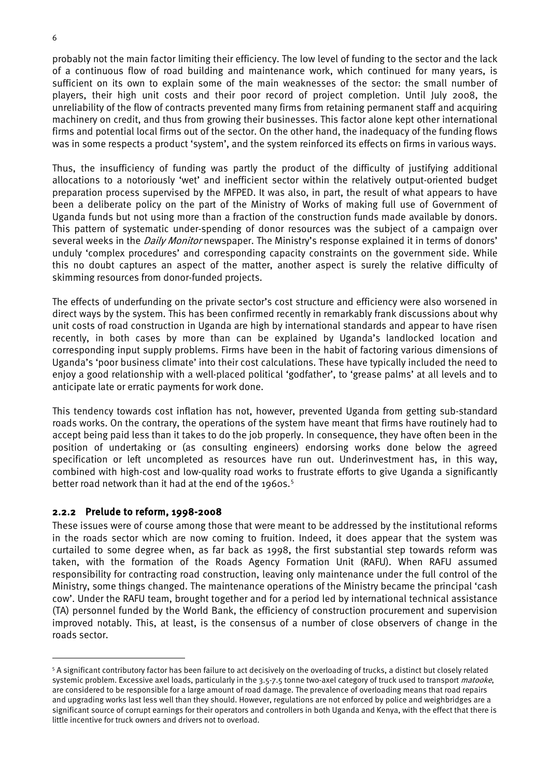probably not the main factor limiting their efficiency. The low level of funding to the sector and the lack of a continuous flow of road building and maintenance work, which continued for many years, is sufficient on its own to explain some of the main weaknesses of the sector: the small number of players, their high unit costs and their poor record of project completion. Until July 2008, the unreliability of the flow of contracts prevented many firms from retaining permanent staff and acquiring machinery on credit, and thus from growing their businesses. This factor alone kept other international firms and potential local firms out of the sector. On the other hand, the inadequacy of the funding flows was in some respects a product 'system', and the system reinforced its effects on firms in various ways.

Thus, the insufficiency of funding was partly the product of the difficulty of justifying additional allocations to a notoriously 'wet' and inefficient sector within the relatively output-oriented budget preparation process supervised by the MFPED. It was also, in part, the result of what appears to have been a deliberate policy on the part of the Ministry of Works of making full use of Government of Uganda funds but not using more than a fraction of the construction funds made available by donors. This pattern of systematic under-spending of donor resources was the subject of a campaign over several weeks in the *Daily Monitor* newspaper. The Ministry's response explained it in terms of donors' unduly 'complex procedures' and corresponding capacity constraints on the government side. While this no doubt captures an aspect of the matter, another aspect is surely the relative difficulty of skimming resources from donor-funded projects.

The effects of underfunding on the private sector's cost structure and efficiency were also worsened in direct ways by the system. This has been confirmed recently in remarkably frank discussions about why unit costs of road construction in Uganda are high by international standards and appear to have risen recently, in both cases by more than can be explained by Uganda's landlocked location and corresponding input supply problems. Firms have been in the habit of factoring various dimensions of Uganda's 'poor business climate' into their cost calculations. These have typically included the need to enjoy a good relationship with a well-placed political 'godfather', to 'grease palms' at all levels and to anticipate late or erratic payments for work done.

This tendency towards cost inflation has not, however, prevented Uganda from getting sub-standard roads works. On the contrary, the operations of the system have meant that firms have routinely had to accept being paid less than it takes to do the job properly. In consequence, they have often been in the position of undertaking or (as consulting engineers) endorsing works done below the agreed specification or left uncompleted as resources have run out. Underinvestment has, in this way, combined with high-cost and low-quality road works to frustrate efforts to give Uganda a significantly better road network than it had at the end of the 1960s.<sup>[5](#page-14-0)</sup>

#### 2.2.2 Prelude to reform, 1998-2008

<u>.</u>

These issues were of course among those that were meant to be addressed by the institutional reforms in the roads sector which are now coming to fruition. Indeed, it does appear that the system was curtailed to some degree when, as far back as 1998, the first substantial step towards reform was taken, with the formation of the Roads Agency Formation Unit (RAFU). When RAFU assumed responsibility for contracting road construction, leaving only maintenance under the full control of the Ministry, some things changed. The maintenance operations of the Ministry became the principal 'cash cow'. Under the RAFU team, brought together and for a period led by international technical assistance (TA) personnel funded by the World Bank, the efficiency of construction procurement and supervision improved notably. This, at least, is the consensus of a number of close observers of change in the roads sector.

<span id="page-14-0"></span><sup>5</sup> A significant contributory factor has been failure to act decisively on the overloading of trucks, a distinct but closely related systemic problem. Excessive axel loads, particularly in the 3.5-7.5 tonne two-axel category of truck used to transport matooke, are considered to be responsible for a large amount of road damage. The prevalence of overloading means that road repairs and upgrading works last less well than they should. However, regulations are not enforced by police and weighbridges are a significant source of corrupt earnings for their operators and controllers in both Uganda and Kenya, with the effect that there is little incentive for truck owners and drivers not to overload.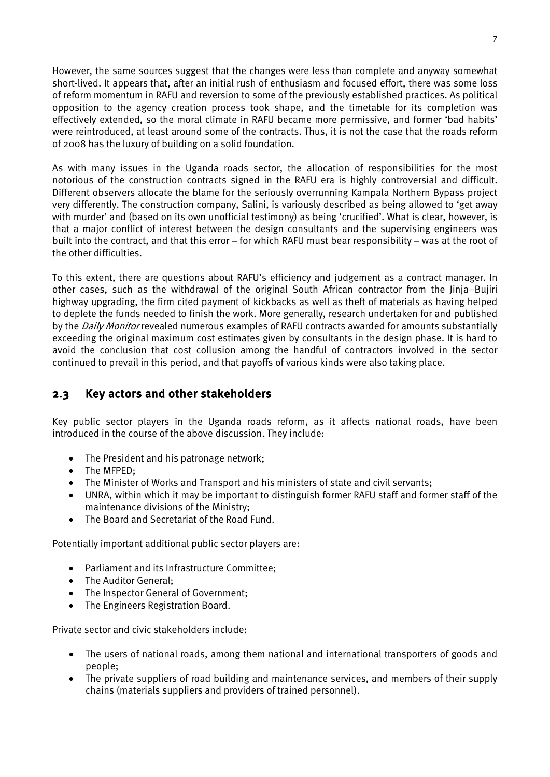However, the same sources suggest that the changes were less than complete and anyway somewhat short-lived. It appears that, after an initial rush of enthusiasm and focused effort, there was some loss of reform momentum in RAFU and reversion to some of the previously established practices. As political opposition to the agency creation process took shape, and the timetable for its completion was effectively extended, so the moral climate in RAFU became more permissive, and former 'bad habits' were reintroduced, at least around some of the contracts. Thus, it is not the case that the roads reform of 2008 has the luxury of building on a solid foundation.

As with many issues in the Uganda roads sector, the allocation of responsibilities for the most notorious of the construction contracts signed in the RAFU era is highly controversial and difficult. Different observers allocate the blame for the seriously overrunning Kampala Northern Bypass project very differently. The construction company, Salini, is variously described as being allowed to 'get away with murder' and (based on its own unofficial testimony) as being 'crucified'. What is clear, however, is that a major conflict of interest between the design consultants and the supervising engineers was built into the contract, and that this error – for which RAFU must bear responsibility – was at the root of the other difficulties.

To this extent, there are questions about RAFU's efficiency and judgement as a contract manager. In other cases, such as the withdrawal of the original South African contractor from the Jinja–Bujiri highway upgrading, the firm cited payment of kickbacks as well as theft of materials as having helped to deplete the funds needed to finish the work. More generally, research undertaken for and published by the *Daily Monitor* revealed numerous examples of RAFU contracts awarded for amounts substantially exceeding the original maximum cost estimates given by consultants in the design phase. It is hard to avoid the conclusion that cost collusion among the handful of contractors involved in the sector continued to prevail in this period, and that payoffs of various kinds were also taking place.

#### <span id="page-15-0"></span>2.3 Key actors and other stakeholders

Key public sector players in the Uganda roads reform, as it affects national roads, have been introduced in the course of the above discussion. They include:

- The President and his patronage network;
- The MFPED:
- The Minister of Works and Transport and his ministers of state and civil servants;
- UNRA, within which it may be important to distinguish former RAFU staff and former staff of the maintenance divisions of the Ministry;
- The Board and Secretariat of the Road Fund.

Potentially important additional public sector players are:

- Parliament and its Infrastructure Committee;
- The Auditor General;
- The Inspector General of Government;
- The Engineers Registration Board.

Private sector and civic stakeholders include:

- The users of national roads, among them national and international transporters of goods and people;
- The private suppliers of road building and maintenance services, and members of their supply chains (materials suppliers and providers of trained personnel).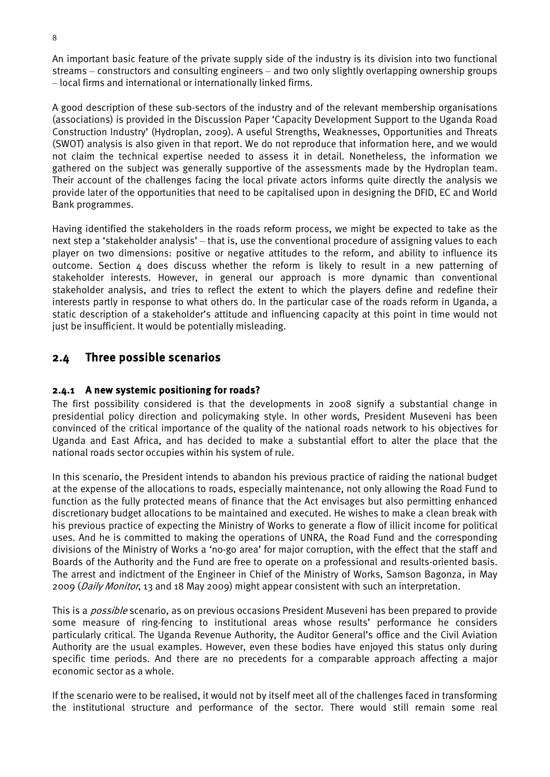An important basic feature of the private supply side of the industry is its division into two functional streams – constructors and consulting engineers – and two only slightly overlapping ownership groups – local firms and international or internationally linked firms.

A good description of these sub-sectors of the industry and of the relevant membership organisations (associations) is provided in the Discussion Paper 'Capacity Development Support to the Uganda Road Construction Industry' (Hydroplan, 2009). A useful Strengths, Weaknesses, Opportunities and Threats (SWOT) analysis is also given in that report. We do not reproduce that information here, and we would not claim the technical expertise needed to assess it in detail. Nonetheless, the information we gathered on the subject was generally supportive of the assessments made by the Hydroplan team. Their account of the challenges facing the local private actors informs quite directly the analysis we provide later of the opportunities that need to be capitalised upon in designing the DFID, EC and World Bank programmes.

Having identified the stakeholders in the roads reform process, we might be expected to take as the next step a 'stakeholder analysis' – that is, use the conventional procedure of assigning values to each player on two dimensions: positive or negative attitudes to the reform, and ability to influence its outcome. Section 4 does discuss whether the reform is likely to result in a new patterning of stakeholder interests. However, in general our approach is more dynamic than conventional stakeholder analysis, and tries to reflect the extent to which the players define and redefine their interests partly in response to what others do. In the particular case of the roads reform in Uganda, a static description of a stakeholder's attitude and influencing capacity at this point in time would not just be insufficient. It would be potentially misleading.

#### <span id="page-16-0"></span>2.4 Three possible scenarios

#### 2.4.1 A new systemic positioning for roads?

The first possibility considered is that the developments in 2008 signify a substantial change in presidential policy direction and policymaking style. In other words, President Museveni has been convinced of the critical importance of the quality of the national roads network to his objectives for Uganda and East Africa, and has decided to make a substantial effort to alter the place that the national roads sector occupies within his system of rule.

In this scenario, the President intends to abandon his previous practice of raiding the national budget at the expense of the allocations to roads, especially maintenance, not only allowing the Road Fund to function as the fully protected means of finance that the Act envisages but also permitting enhanced discretionary budget allocations to be maintained and executed. He wishes to make a clean break with his previous practice of expecting the Ministry of Works to generate a flow of illicit income for political uses. And he is committed to making the operations of UNRA, the Road Fund and the corresponding divisions of the Ministry of Works a 'no-go area' for major corruption, with the effect that the staff and Boards of the Authority and the Fund are free to operate on a professional and results-oriented basis. The arrest and indictment of the Engineer in Chief of the Ministry of Works, Samson Bagonza, in May 2009 (*Daily Monitor*, 13 and 18 May 2009) might appear consistent with such an interpretation.

This is a *possible* scenario, as on previous occasions President Museveni has been prepared to provide some measure of ring-fencing to institutional areas whose results' performance he considers particularly critical. The Uganda Revenue Authority, the Auditor General's office and the Civil Aviation Authority are the usual examples. However, even these bodies have enjoyed this status only during specific time periods. And there are no precedents for a comparable approach affecting a major economic sector as a whole.

If the scenario were to be realised, it would not by itself meet all of the challenges faced in transforming the institutional structure and performance of the sector. There would still remain some real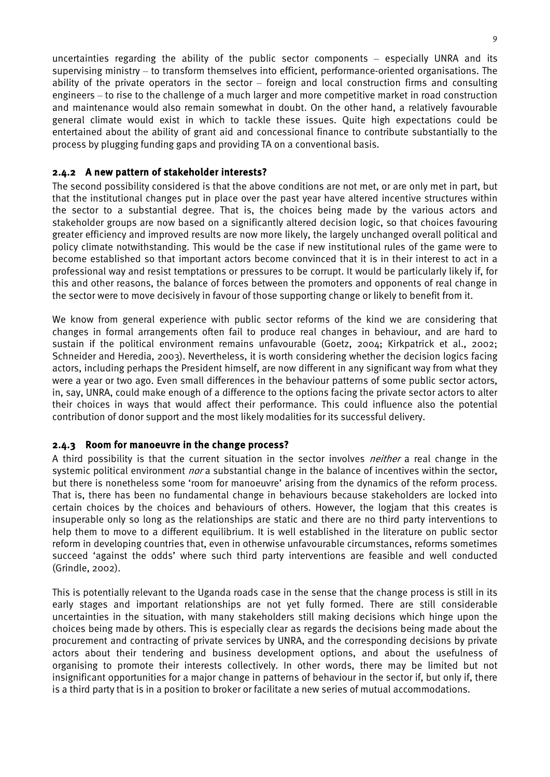uncertainties regarding the ability of the public sector components – especially UNRA and its supervising ministry – to transform themselves into efficient, performance-oriented organisations. The ability of the private operators in the sector – foreign and local construction firms and consulting engineers – to rise to the challenge of a much larger and more competitive market in road construction and maintenance would also remain somewhat in doubt. On the other hand, a relatively favourable general climate would exist in which to tackle these issues. Quite high expectations could be entertained about the ability of grant aid and concessional finance to contribute substantially to the process by plugging funding gaps and providing TA on a conventional basis.

#### 2.4.2 A new pattern of stakeholder interests?

The second possibility considered is that the above conditions are not met, or are only met in part, but that the institutional changes put in place over the past year have altered incentive structures within the sector to a substantial degree. That is, the choices being made by the various actors and stakeholder groups are now based on a significantly altered decision logic, so that choices favouring greater efficiency and improved results are now more likely, the largely unchanged overall political and policy climate notwithstanding. This would be the case if new institutional rules of the game were to become established so that important actors become convinced that it is in their interest to act in a professional way and resist temptations or pressures to be corrupt. It would be particularly likely if, for this and other reasons, the balance of forces between the promoters and opponents of real change in the sector were to move decisively in favour of those supporting change or likely to benefit from it.

We know from general experience with public sector reforms of the kind we are considering that changes in formal arrangements often fail to produce real changes in behaviour, and are hard to sustain if the political environment remains unfavourable (Goetz, 2004; Kirkpatrick et al., 2002; Schneider and Heredia, 2003). Nevertheless, it is worth considering whether the decision logics facing actors, including perhaps the President himself, are now different in any significant way from what they were a year or two ago. Even small differences in the behaviour patterns of some public sector actors, in, say, UNRA, could make enough of a difference to the options facing the private sector actors to alter their choices in ways that would affect their performance. This could influence also the potential contribution of donor support and the most likely modalities for its successful delivery.

#### 2.4.3 Room for manoeuvre in the change process?

A third possibility is that the current situation in the sector involves *neither* a real change in the systemic political environment *nor* a substantial change in the balance of incentives within the sector, but there is nonetheless some 'room for manoeuvre' arising from the dynamics of the reform process. That is, there has been no fundamental change in behaviours because stakeholders are locked into certain choices by the choices and behaviours of others. However, the logjam that this creates is insuperable only so long as the relationships are static and there are no third party interventions to help them to move to a different equilibrium. It is well established in the literature on public sector reform in developing countries that, even in otherwise unfavourable circumstances, reforms sometimes succeed 'against the odds' where such third party interventions are feasible and well conducted (Grindle, 2002).

This is potentially relevant to the Uganda roads case in the sense that the change process is still in its early stages and important relationships are not yet fully formed. There are still considerable uncertainties in the situation, with many stakeholders still making decisions which hinge upon the choices being made by others. This is especially clear as regards the decisions being made about the procurement and contracting of private services by UNRA, and the corresponding decisions by private actors about their tendering and business development options, and about the usefulness of organising to promote their interests collectively. In other words, there may be limited but not insignificant opportunities for a major change in patterns of behaviour in the sector if, but only if, there is a third party that is in a position to broker or facilitate a new series of mutual accommodations.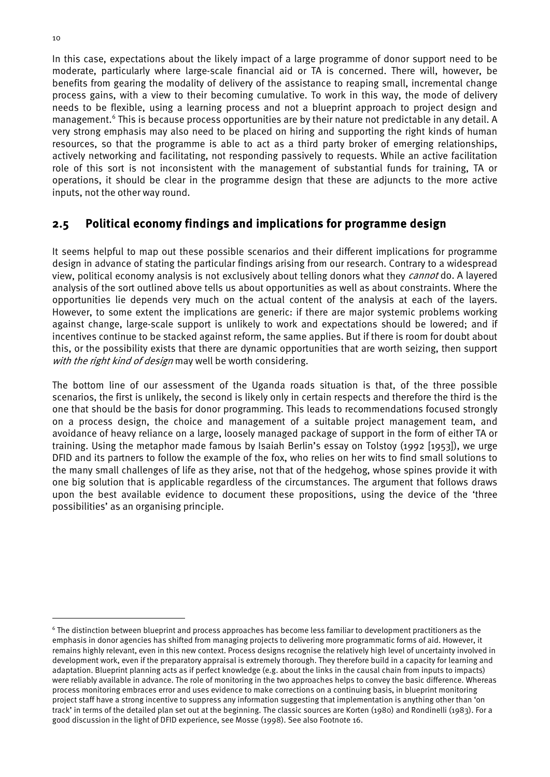In this case, expectations about the likely impact of a large programme of donor support need to be moderate, particularly where large-scale financial aid or TA is concerned. There will, however, be benefits from gearing the modality of delivery of the assistance to reaping small, incremental change process gains, with a view to their becoming cumulative. To work in this way, the mode of delivery needs to be flexible, using a learning process and not a blueprint approach to project design and management.<sup>6</sup> This is because process opportunities are by their nature not predictable in any detail. A very strong emphasis may also need to be placed on hiring and supporting the right kinds of human resources, so that the programme is able to act as a third party broker of emerging relationships, actively networking and facilitating, not responding passively to requests. While an active facilitation role of this sort is not inconsistent with the management of substantial funds for training, TA or operations, it should be clear in the programme design that these are adjuncts to the more active inputs, not the other way round.

#### <span id="page-18-0"></span>2.5 Political economy findings and implications for programme design

It seems helpful to map out these possible scenarios and their different implications for programme design in advance of stating the particular findings arising from our research. Contrary to a widespread view, political economy analysis is not exclusively about telling donors what they *cannot* do. A layered analysis of the sort outlined above tells us about opportunities as well as about constraints. Where the opportunities lie depends very much on the actual content of the analysis at each of the layers. However, to some extent the implications are generic: if there are major systemic problems working against change, large-scale support is unlikely to work and expectations should be lowered; and if incentives continue to be stacked against reform, the same applies. But if there is room for doubt about this, or the possibility exists that there are dynamic opportunities that are worth seizing, then support with the right kind of design may well be worth considering.

The bottom line of our assessment of the Uganda roads situation is that, of the three possible scenarios, the first is unlikely, the second is likely only in certain respects and therefore the third is the one that should be the basis for donor programming. This leads to recommendations focused strongly on a process design, the choice and management of a suitable project management team, and avoidance of heavy reliance on a large, loosely managed package of support in the form of either TA or training. Using the metaphor made famous by Isaiah Berlin's essay on Tolstoy (1992 [1953]), we urge DFID and its partners to follow the example of the fox, who relies on her wits to find small solutions to the many small challenges of life as they arise, not that of the hedgehog, whose spines provide it with one big solution that is applicable regardless of the circumstances. The argument that follows draws upon the best available evidence to document these propositions, using the device of the 'three possibilities' as an organising principle.

<span id="page-18-1"></span><sup>6</sup> The distinction between blueprint and process approaches has become less familiar to development practitioners as the emphasis in donor agencies has shifted from managing projects to delivering more programmatic forms of aid. However, it remains highly relevant, even in this new context. Process designs recognise the relatively high level of uncertainty involved in development work, even if the preparatory appraisal is extremely thorough. They therefore build in a capacity for learning and adaptation. Blueprint planning acts as if perfect knowledge (e.g. about the links in the causal chain from inputs to impacts) were reliably available in advance. The role of monitoring in the two approaches helps to convey the basic difference. Whereas process monitoring embraces error and uses evidence to make corrections on a continuing basis, in blueprint monitoring project staff have a strong incentive to suppress any information suggesting that implementation is anything other than 'on track' in terms of the detailed plan set out at the beginning. The classic sources are Korten (1980) and Rondinelli (1983). For a good discussion in the light of DFID experience, see Mosse (1998). See also Footnote 16.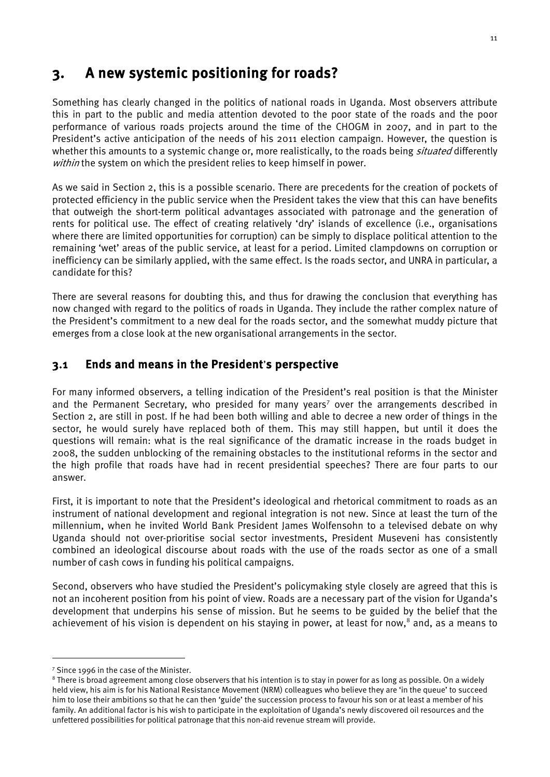## <span id="page-19-0"></span>3. A new systemic positioning for roads?

Something has clearly changed in the politics of national roads in Uganda. Most observers attribute this in part to the public and media attention devoted to the poor state of the roads and the poor performance of various roads projects around the time of the CHOGM in 2007, and in part to the President's active anticipation of the needs of his 2011 election campaign. However, the question is whether this amounts to a systemic change or, more realistically, to the roads being *situated* differently within the system on which the president relies to keep himself in power.

As we said in Section 2, this is a possible scenario. There are precedents for the creation of pockets of protected efficiency in the public service when the President takes the view that this can have benefits that outweigh the short-term political advantages associated with patronage and the generation of rents for political use. The effect of creating relatively 'dry' islands of excellence (i.e., organisations where there are limited opportunities for corruption) can be simply to displace political attention to the remaining 'wet' areas of the public service, at least for a period. Limited clampdowns on corruption or inefficiency can be similarly applied, with the same effect. Is the roads sector, and UNRA in particular, a candidate for this?

There are several reasons for doubting this, and thus for drawing the conclusion that everything has now changed with regard to the politics of roads in Uganda. They include the rather complex nature of the President's commitment to a new deal for the roads sector, and the somewhat muddy picture that emerges from a close look at the new organisational arrangements in the sector.

#### <span id="page-19-1"></span>3.1 Ends and means in the President's perspective

For many informed observers, a telling indication of the President's real position is that the Minister and the Permanent Secretary, who presided for many years<sup>[7](#page-19-2)</sup> over the arrangements described in Section 2, are still in post. If he had been both willing and able to decree a new order of things in the sector, he would surely have replaced both of them. This may still happen, but until it does the questions will remain: what is the real significance of the dramatic increase in the roads budget in 2008, the sudden unblocking of the remaining obstacles to the institutional reforms in the sector and the high profile that roads have had in recent presidential speeches? There are four parts to our answer.

First, it is important to note that the President's ideological and rhetorical commitment to roads as an instrument of national development and regional integration is not new. Since at least the turn of the millennium, when he invited World Bank President James Wolfensohn to a televised debate on why Uganda should not over-prioritise social sector investments, President Museveni has consistently combined an ideological discourse about roads with the use of the roads sector as one of a small number of cash cows in funding his political campaigns.

Second, observers who have studied the President's policymaking style closely are agreed that this is not an incoherent position from his point of view. Roads are a necessary part of the vision for Uganda's development that underpins his sense of mission. But he seems to be guided by the belief that the achievement of his vision is dependent on his staying in power, at least for now,<sup>[8](#page-19-3)</sup> and, as a means to

<span id="page-19-2"></span><sup>&</sup>lt;sup>7</sup> Since 1996 in the case of the Minister.

<span id="page-19-3"></span><sup>&</sup>lt;sup>8</sup> There is broad agreement among close observers that his intention is to stay in power for as long as possible. On a widely held view, his aim is for his National Resistance Movement (NRM) colleagues who believe they are 'in the queue' to succeed him to lose their ambitions so that he can then 'guide' the succession process to favour his son or at least a member of his family. An additional factor is his wish to participate in the exploitation of Uganda's newly discovered oil resources and the unfettered possibilities for political patronage that this non-aid revenue stream will provide.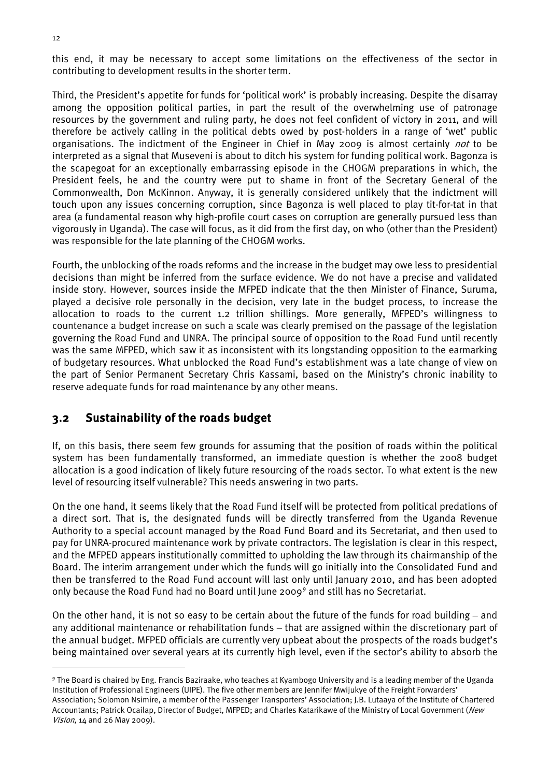this end, it may be necessary to accept some limitations on the effectiveness of the sector in contributing to development results in the shorter term.

Third, the President's appetite for funds for 'political work' is probably increasing. Despite the disarray among the opposition political parties, in part the result of the overwhelming use of patronage resources by the government and ruling party, he does not feel confident of victory in 2011, and will therefore be actively calling in the political debts owed by post-holders in a range of 'wet' public organisations. The indictment of the Engineer in Chief in May 2009 is almost certainly *not* to be interpreted as a signal that Museveni is about to ditch his system for funding political work. Bagonza is the scapegoat for an exceptionally embarrassing episode in the CHOGM preparations in which, the President feels, he and the country were put to shame in front of the Secretary General of the Commonwealth, Don McKinnon. Anyway, it is generally considered unlikely that the indictment will touch upon any issues concerning corruption, since Bagonza is well placed to play tit-for-tat in that area (a fundamental reason why high-profile court cases on corruption are generally pursued less than vigorously in Uganda). The case will focus, as it did from the first day, on who (other than the President) was responsible for the late planning of the CHOGM works.

Fourth, the unblocking of the roads reforms and the increase in the budget may owe less to presidential decisions than might be inferred from the surface evidence. We do not have a precise and validated inside story. However, sources inside the MFPED indicate that the then Minister of Finance, Suruma, played a decisive role personally in the decision, very late in the budget process, to increase the allocation to roads to the current 1.2 trillion shillings. More generally, MFPED's willingness to countenance a budget increase on such a scale was clearly premised on the passage of the legislation governing the Road Fund and UNRA. The principal source of opposition to the Road Fund until recently was the same MFPED, which saw it as inconsistent with its longstanding opposition to the earmarking of budgetary resources. What unblocked the Road Fund's establishment was a late change of view on the part of Senior Permanent Secretary Chris Kassami, based on the Ministry's chronic inability to reserve adequate funds for road maintenance by any other means.

#### <span id="page-20-0"></span>3.2 Sustainability of the roads budget

If, on this basis, there seem few grounds for assuming that the position of roads within the political system has been fundamentally transformed, an immediate question is whether the 2008 budget allocation is a good indication of likely future resourcing of the roads sector. To what extent is the new level of resourcing itself vulnerable? This needs answering in two parts.

On the one hand, it seems likely that the Road Fund itself will be protected from political predations of a direct sort. That is, the designated funds will be directly transferred from the Uganda Revenue Authority to a special account managed by the Road Fund Board and its Secretariat, and then used to pay for UNRA-procured maintenance work by private contractors. The legislation is clear in this respect, and the MFPED appears institutionally committed to upholding the law through its chairmanship of the Board. The interim arrangement under which the funds will go initially into the Consolidated Fund and then be transferred to the Road Fund account will last only until January 2010, and has been adopted only because the Road Fund had no Board until June 2009[9](#page-20-1) and still has no Secretariat.

On the other hand, it is not so easy to be certain about the future of the funds for road building – and any additional maintenance or rehabilitation funds – that are assigned within the discretionary part of the annual budget. MFPED officials are currently very upbeat about the prospects of the roads budget's being maintained over several years at its currently high level, even if the sector's ability to absorb the

<span id="page-20-1"></span><sup>9</sup> The Board is chaired by Eng. Francis Baziraake, who teaches at Kyambogo University and is a leading member of the Uganda Institution of Professional Engineers (UIPE). The five other members are Jennifer Mwijukye of the Freight Forwarders' Association; Solomon Nsimire, a member of the Passenger Transporters' Association; J.B. Lutaaya of the Institute of Chartered Accountants; Patrick Ocailap, Director of Budget, MFPED; and Charles Katarikawe of the Ministry of Local Government (New Vision, 14 and 26 May 2009).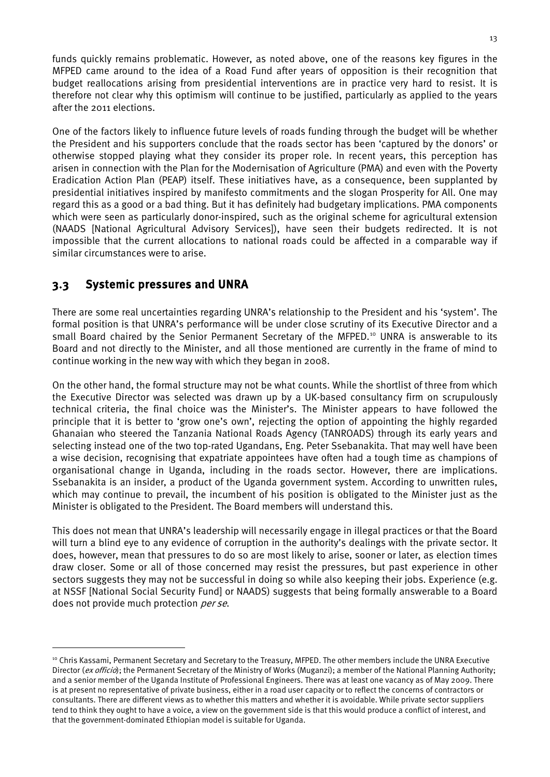funds quickly remains problematic. However, as noted above, one of the reasons key figures in the MFPED came around to the idea of a Road Fund after years of opposition is their recognition that budget reallocations arising from presidential interventions are in practice very hard to resist. It is therefore not clear why this optimism will continue to be justified, particularly as applied to the years after the 2011 elections.

One of the factors likely to influence future levels of roads funding through the budget will be whether the President and his supporters conclude that the roads sector has been 'captured by the donors' or otherwise stopped playing what they consider its proper role. In recent years, this perception has arisen in connection with the Plan for the Modernisation of Agriculture (PMA) and even with the Poverty Eradication Action Plan (PEAP) itself. These initiatives have, as a consequence, been supplanted by presidential initiatives inspired by manifesto commitments and the slogan Prosperity for All. One may regard this as a good or a bad thing. But it has definitely had budgetary implications. PMA components which were seen as particularly donor-inspired, such as the original scheme for agricultural extension (NAADS [National Agricultural Advisory Services]), have seen their budgets redirected. It is not impossible that the current allocations to national roads could be affected in a comparable way if similar circumstances were to arise.

#### <span id="page-21-0"></span>3.3 Systemic pressures and UNRA

<u>.</u>

There are some real uncertainties regarding UNRA's relationship to the President and his 'system'. The formal position is that UNRA's performance will be under close scrutiny of its Executive Director and a small Board chaired by the Senior Permanent Secretary of the MFPED.<sup>[10](#page-21-1)</sup> UNRA is answerable to its Board and not directly to the Minister, and all those mentioned are currently in the frame of mind to continue working in the new way with which they began in 2008.

On the other hand, the formal structure may not be what counts. While the shortlist of three from which the Executive Director was selected was drawn up by a UK-based consultancy firm on scrupulously technical criteria, the final choice was the Minister's. The Minister appears to have followed the principle that it is better to 'grow one's own', rejecting the option of appointing the highly regarded Ghanaian who steered the Tanzania National Roads Agency (TANROADS) through its early years and selecting instead one of the two top-rated Ugandans, Eng. Peter Ssebanakita. That may well have been a wise decision, recognising that expatriate appointees have often had a tough time as champions of organisational change in Uganda, including in the roads sector. However, there are implications. Ssebanakita is an insider, a product of the Uganda government system. According to unwritten rules, which may continue to prevail, the incumbent of his position is obligated to the Minister just as the Minister is obligated to the President. The Board members will understand this.

This does not mean that UNRA's leadership will necessarily engage in illegal practices or that the Board will turn a blind eye to any evidence of corruption in the authority's dealings with the private sector. It does, however, mean that pressures to do so are most likely to arise, sooner or later, as election times draw closer. Some or all of those concerned may resist the pressures, but past experience in other sectors suggests they may not be successful in doing so while also keeping their jobs. Experience (e.g. at NSSF [National Social Security Fund] or NAADS) suggests that being formally answerable to a Board does not provide much protection per se.

<span id="page-21-1"></span><sup>&</sup>lt;sup>10</sup> Chris Kassami, Permanent Secretary and Secretary to the Treasury, MFPED. The other members include the UNRA Executive Director (ex officio); the Permanent Secretary of the Ministry of Works (Muganzi); a member of the National Planning Authority; and a senior member of the Uganda Institute of Professional Engineers. There was at least one vacancy as of May 2009. There is at present no representative of private business, either in a road user capacity or to reflect the concerns of contractors or consultants. There are different views as to whether this matters and whether it is avoidable. While private sector suppliers tend to think they ought to have a voice, a view on the government side is that this would produce a conflict of interest, and that the government-dominated Ethiopian model is suitable for Uganda.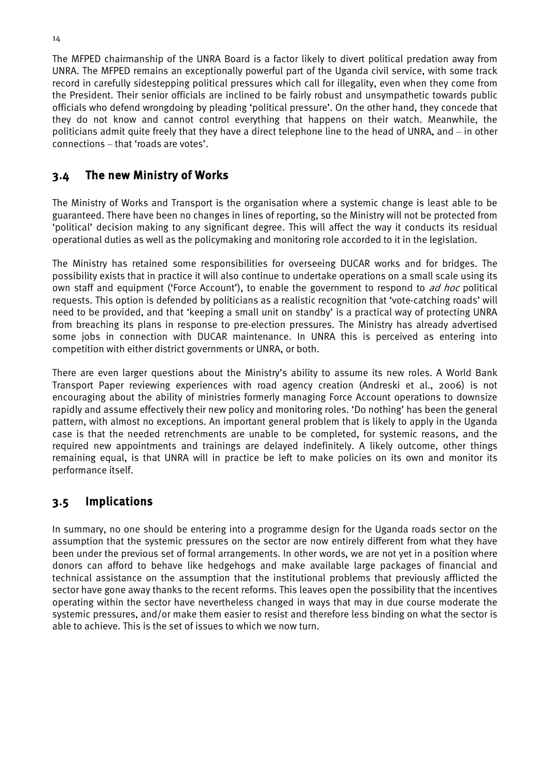The MFPED chairmanship of the UNRA Board is a factor likely to divert political predation away from UNRA. The MFPED remains an exceptionally powerful part of the Uganda civil service, with some track record in carefully sidestepping political pressures which call for illegality, even when they come from the President. Their senior officials are inclined to be fairly robust and unsympathetic towards public officials who defend wrongdoing by pleading 'political pressure'. On the other hand, they concede that they do not know and cannot control everything that happens on their watch. Meanwhile, the politicians admit quite freely that they have a direct telephone line to the head of UNRA, and – in other connections – that 'roads are votes'.

## <span id="page-22-0"></span>3.4 The new Ministry of Works

The Ministry of Works and Transport is the organisation where a systemic change is least able to be guaranteed. There have been no changes in lines of reporting, so the Ministry will not be protected from 'political' decision making to any significant degree. This will affect the way it conducts its residual operational duties as well as the policymaking and monitoring role accorded to it in the legislation.

The Ministry has retained some responsibilities for overseeing DUCAR works and for bridges. The possibility exists that in practice it will also continue to undertake operations on a small scale using its own staff and equipment ('Force Account'), to enable the government to respond to *ad hoc* political requests. This option is defended by politicians as a realistic recognition that 'vote-catching roads' will need to be provided, and that 'keeping a small unit on standby' is a practical way of protecting UNRA from breaching its plans in response to pre-election pressures. The Ministry has already advertised some jobs in connection with DUCAR maintenance. In UNRA this is perceived as entering into competition with either district governments or UNRA, or both.

There are even larger questions about the Ministry's ability to assume its new roles. A World Bank Transport Paper reviewing experiences with road agency creation (Andreski et al., 2006) is not encouraging about the ability of ministries formerly managing Force Account operations to downsize rapidly and assume effectively their new policy and monitoring roles. 'Do nothing' has been the general pattern, with almost no exceptions. An important general problem that is likely to apply in the Uganda case is that the needed retrenchments are unable to be completed, for systemic reasons, and the required new appointments and trainings are delayed indefinitely. A likely outcome, other things remaining equal, is that UNRA will in practice be left to make policies on its own and monitor its performance itself.

## <span id="page-22-1"></span>3.5 Implications

In summary, no one should be entering into a programme design for the Uganda roads sector on the assumption that the systemic pressures on the sector are now entirely different from what they have been under the previous set of formal arrangements. In other words, we are not yet in a position where donors can afford to behave like hedgehogs and make available large packages of financial and technical assistance on the assumption that the institutional problems that previously afflicted the sector have gone away thanks to the recent reforms. This leaves open the possibility that the incentives operating within the sector have nevertheless changed in ways that may in due course moderate the systemic pressures, and/or make them easier to resist and therefore less binding on what the sector is able to achieve. This is the set of issues to which we now turn.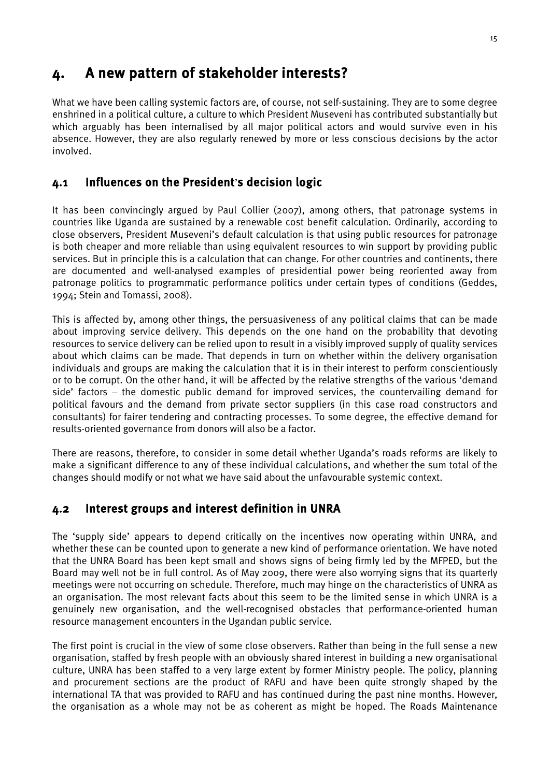# <span id="page-23-0"></span>4. A new pattern of stakeholder interests?

What we have been calling systemic factors are, of course, not self-sustaining. They are to some degree enshrined in a political culture, a culture to which President Museveni has contributed substantially but which arguably has been internalised by all major political actors and would survive even in his absence. However, they are also regularly renewed by more or less conscious decisions by the actor involved.

#### <span id="page-23-1"></span>4.1 Influences on the President's decision logic

It has been convincingly argued by Paul Collier (2007), among others, that patronage systems in countries like Uganda are sustained by a renewable cost benefit calculation. Ordinarily, according to close observers, President Museveni's default calculation is that using public resources for patronage is both cheaper and more reliable than using equivalent resources to win support by providing public services. But in principle this is a calculation that can change. For other countries and continents, there are documented and well-analysed examples of presidential power being reoriented away from patronage politics to programmatic performance politics under certain types of conditions (Geddes, 1994; Stein and Tomassi, 2008).

This is affected by, among other things, the persuasiveness of any political claims that can be made about improving service delivery. This depends on the one hand on the probability that devoting resources to service delivery can be relied upon to result in a visibly improved supply of quality services about which claims can be made. That depends in turn on whether within the delivery organisation individuals and groups are making the calculation that it is in their interest to perform conscientiously or to be corrupt. On the other hand, it will be affected by the relative strengths of the various 'demand side' factors – the domestic public demand for improved services, the countervailing demand for political favours and the demand from private sector suppliers (in this case road constructors and consultants) for fairer tendering and contracting processes. To some degree, the effective demand for results-oriented governance from donors will also be a factor.

There are reasons, therefore, to consider in some detail whether Uganda's roads reforms are likely to make a significant difference to any of these individual calculations, and whether the sum total of the changes should modify or not what we have said about the unfavourable systemic context.

#### <span id="page-23-2"></span>4.2 Interest groups and interest definition in UNRA

The 'supply side' appears to depend critically on the incentives now operating within UNRA, and whether these can be counted upon to generate a new kind of performance orientation. We have noted that the UNRA Board has been kept small and shows signs of being firmly led by the MFPED, but the Board may well not be in full control. As of May 2009, there were also worrying signs that its quarterly meetings were not occurring on schedule. Therefore, much may hinge on the characteristics of UNRA as an organisation. The most relevant facts about this seem to be the limited sense in which UNRA is a genuinely new organisation, and the well-recognised obstacles that performance-oriented human resource management encounters in the Ugandan public service.

The first point is crucial in the view of some close observers. Rather than being in the full sense a new organisation, staffed by fresh people with an obviously shared interest in building a new organisational culture, UNRA has been staffed to a very large extent by former Ministry people. The policy, planning and procurement sections are the product of RAFU and have been quite strongly shaped by the international TA that was provided to RAFU and has continued during the past nine months. However, the organisation as a whole may not be as coherent as might be hoped. The Roads Maintenance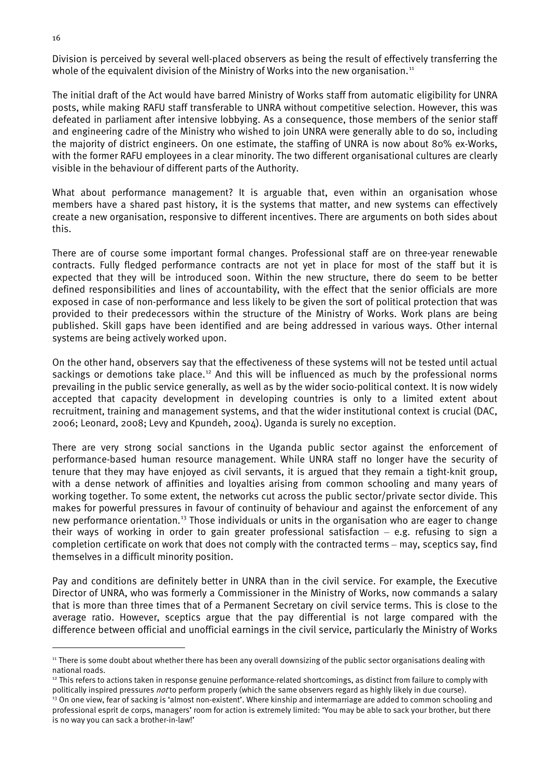Division is perceived by several well-placed observers as being the result of effectively transferring the whole of the equivalent division of the Ministry of Works into the new organisation.<sup>[11](#page-24-0)</sup>

The initial draft of the Act would have barred Ministry of Works staff from automatic eligibility for UNRA posts, while making RAFU staff transferable to UNRA without competitive selection. However, this was defeated in parliament after intensive lobbying. As a consequence, those members of the senior staff and engineering cadre of the Ministry who wished to join UNRA were generally able to do so, including the majority of district engineers. On one estimate, the staffing of UNRA is now about 80% ex-Works, with the former RAFU employees in a clear minority. The two different organisational cultures are clearly visible in the behaviour of different parts of the Authority.

What about performance management? It is arguable that, even within an organisation whose members have a shared past history, it is the systems that matter, and new systems can effectively create a new organisation, responsive to different incentives. There are arguments on both sides about this.

There are of course some important formal changes. Professional staff are on three-year renewable contracts. Fully fledged performance contracts are not yet in place for most of the staff but it is expected that they will be introduced soon. Within the new structure, there do seem to be better defined responsibilities and lines of accountability, with the effect that the senior officials are more exposed in case of non-performance and less likely to be given the sort of political protection that was provided to their predecessors within the structure of the Ministry of Works. Work plans are being published. Skill gaps have been identified and are being addressed in various ways. Other internal systems are being actively worked upon.

On the other hand, observers say that the effectiveness of these systems will not be tested until actual sackings or demotions take place.<sup>[12](#page-24-1)</sup> And this will be influenced as much by the professional norms prevailing in the public service generally, as well as by the wider socio-political context. It is now widely accepted that capacity development in developing countries is only to a limited extent about recruitment, training and management systems, and that the wider institutional context is crucial (DAC, 2006; Leonard, 2008; Levy and Kpundeh, 2004). Uganda is surely no exception.

There are very strong social sanctions in the Uganda public sector against the enforcement of performance-based human resource management. While UNRA staff no longer have the security of tenure that they may have enjoyed as civil servants, it is argued that they remain a tight-knit group, with a dense network of affinities and loyalties arising from common schooling and many years of working together. To some extent, the networks cut across the public sector/private sector divide. This makes for powerful pressures in favour of continuity of behaviour and against the enforcement of any new performance orientation.[13](#page-24-2) Those individuals or units in the organisation who are eager to change their ways of working in order to gain greater professional satisfaction – e.g. refusing to sign a completion certificate on work that does not comply with the contracted terms – may, sceptics say, find themselves in a difficult minority position.

Pay and conditions are definitely better in UNRA than in the civil service. For example, the Executive Director of UNRA, who was formerly a Commissioner in the Ministry of Works, now commands a salary that is more than three times that of a Permanent Secretary on civil service terms. This is close to the average ratio. However, sceptics argue that the pay differential is not large compared with the difference between official and unofficial earnings in the civil service, particularly the Ministry of Works

<span id="page-24-0"></span><sup>&</sup>lt;sup>11</sup> There is some doubt about whether there has been any overall downsizing of the public sector organisations dealing with national roads.

<span id="page-24-1"></span> $12$  This refers to actions taken in response genuine performance-related shortcomings, as distinct from failure to comply with politically inspired pressures not to perform properly (which the same observers regard as highly likely in due course).

<span id="page-24-2"></span> $13$  On one view, fear of sacking is 'almost non-existent'. Where kinship and intermarriage are added to common schooling and professional esprit de corps, managers' room for action is extremely limited: 'You may be able to sack your brother, but there is no way you can sack a brother-in-law!'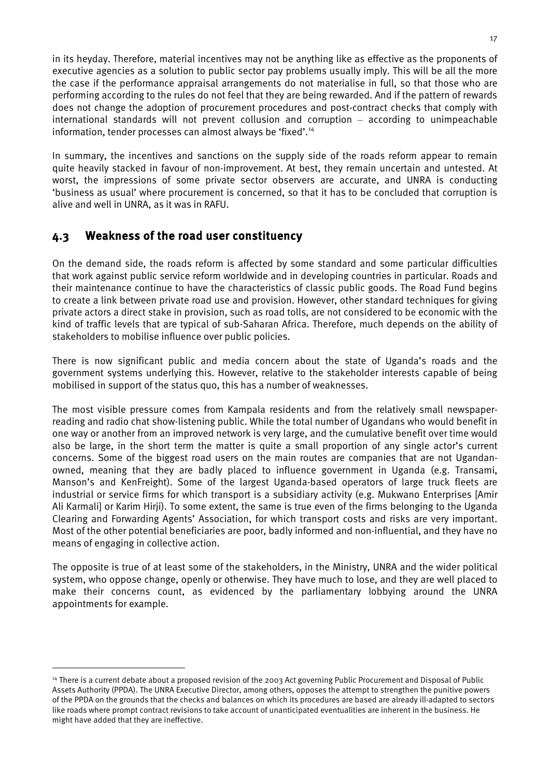in its heyday. Therefore, material incentives may not be anything like as effective as the proponents of executive agencies as a solution to public sector pay problems usually imply. This will be all the more the case if the performance appraisal arrangements do not materialise in full, so that those who are performing according to the rules do not feel that they are being rewarded. And if the pattern of rewards does not change the adoption of procurement procedures and post-contract checks that comply with international standards will not prevent collusion and corruption – according to unimpeachable information, tender processes can almost always be 'fixed'. [14](#page-25-1)

In summary, the incentives and sanctions on the supply side of the roads reform appear to remain quite heavily stacked in favour of non-improvement. At best, they remain uncertain and untested. At worst, the impressions of some private sector observers are accurate, and UNRA is conducting 'business as usual' where procurement is concerned, so that it has to be concluded that corruption is alive and well in UNRA, as it was in RAFU.

#### <span id="page-25-0"></span>4.3 Weakness of the road user constituency

<u>.</u>

On the demand side, the roads reform is affected by some standard and some particular difficulties that work against public service reform worldwide and in developing countries in particular. Roads and their maintenance continue to have the characteristics of classic public goods. The Road Fund begins to create a link between private road use and provision. However, other standard techniques for giving private actors a direct stake in provision, such as road tolls, are not considered to be economic with the kind of traffic levels that are typical of sub-Saharan Africa. Therefore, much depends on the ability of stakeholders to mobilise influence over public policies.

There is now significant public and media concern about the state of Uganda's roads and the government systems underlying this. However, relative to the stakeholder interests capable of being mobilised in support of the status quo, this has a number of weaknesses.

The most visible pressure comes from Kampala residents and from the relatively small newspaperreading and radio chat show-listening public. While the total number of Ugandans who would benefit in one way or another from an improved network is very large, and the cumulative benefit over time would also be large, in the short term the matter is quite a small proportion of any single actor's current concerns. Some of the biggest road users on the main routes are companies that are not Ugandanowned, meaning that they are badly placed to influence government in Uganda (e.g. Transami, Manson's and KenFreight). Some of the largest Uganda-based operators of large truck fleets are industrial or service firms for which transport is a subsidiary activity (e.g. Mukwano Enterprises [Amir Ali Karmali] or Karim Hirji). To some extent, the same is true even of the firms belonging to the Uganda Clearing and Forwarding Agents' Association, for which transport costs and risks are very important. Most of the other potential beneficiaries are poor, badly informed and non-influential, and they have no means of engaging in collective action.

The opposite is true of at least some of the stakeholders, in the Ministry, UNRA and the wider political system, who oppose change, openly or otherwise. They have much to lose, and they are well placed to make their concerns count, as evidenced by the parliamentary lobbying around the UNRA appointments for example.

<span id="page-25-1"></span><sup>&</sup>lt;sup>14</sup> There is a current debate about a proposed revision of the 2003 Act governing Public Procurement and Disposal of Public Assets Authority (PPDA). The UNRA Executive Director, among others, opposes the attempt to strengthen the punitive powers of the PPDA on the grounds that the checks and balances on which its procedures are based are already ill-adapted to sectors like roads where prompt contract revisions to take account of unanticipated eventualities are inherent in the business. He might have added that they are ineffective.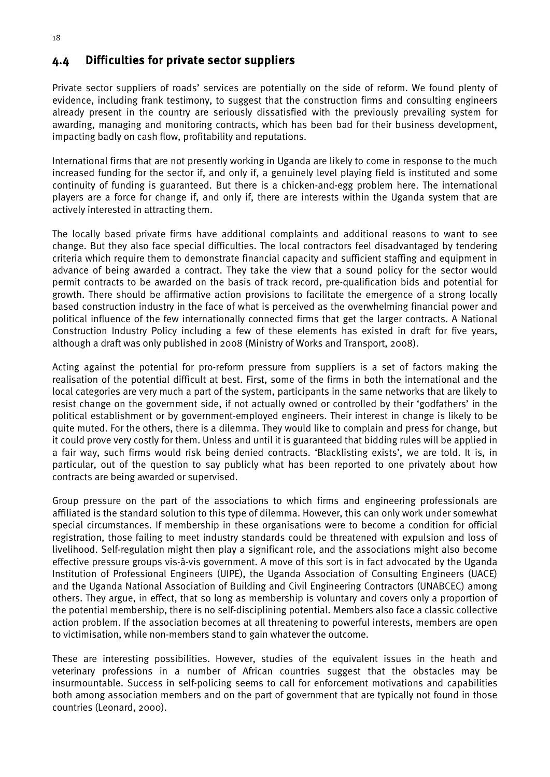#### <span id="page-26-0"></span>4.4 Difficulties for private sector suppliers

Private sector suppliers of roads' services are potentially on the side of reform. We found plenty of evidence, including frank testimony, to suggest that the construction firms and consulting engineers already present in the country are seriously dissatisfied with the previously prevailing system for awarding, managing and monitoring contracts, which has been bad for their business development, impacting badly on cash flow, profitability and reputations.

International firms that are not presently working in Uganda are likely to come in response to the much increased funding for the sector if, and only if, a genuinely level playing field is instituted and some continuity of funding is guaranteed. But there is a chicken-and-egg problem here. The international players are a force for change if, and only if, there are interests within the Uganda system that are actively interested in attracting them.

The locally based private firms have additional complaints and additional reasons to want to see change. But they also face special difficulties. The local contractors feel disadvantaged by tendering criteria which require them to demonstrate financial capacity and sufficient staffing and equipment in advance of being awarded a contract. They take the view that a sound policy for the sector would permit contracts to be awarded on the basis of track record, pre-qualification bids and potential for growth. There should be affirmative action provisions to facilitate the emergence of a strong locally based construction industry in the face of what is perceived as the overwhelming financial power and political influence of the few internationally connected firms that get the larger contracts. A National Construction Industry Policy including a few of these elements has existed in draft for five years, although a draft was only published in 2008 (Ministry of Works and Transport, 2008).

Acting against the potential for pro-reform pressure from suppliers is a set of factors making the realisation of the potential difficult at best. First, some of the firms in both the international and the local categories are very much a part of the system, participants in the same networks that are likely to resist change on the government side, if not actually owned or controlled by their 'godfathers' in the political establishment or by government-employed engineers. Their interest in change is likely to be quite muted. For the others, there is a dilemma. They would like to complain and press for change, but it could prove very costly for them. Unless and until it is guaranteed that bidding rules will be applied in a fair way, such firms would risk being denied contracts. 'Blacklisting exists', we are told. It is, in particular, out of the question to say publicly what has been reported to one privately about how contracts are being awarded or supervised.

Group pressure on the part of the associations to which firms and engineering professionals are affiliated is the standard solution to this type of dilemma. However, this can only work under somewhat special circumstances. If membership in these organisations were to become a condition for official registration, those failing to meet industry standards could be threatened with expulsion and loss of livelihood. Self-regulation might then play a significant role, and the associations might also become effective pressure groups vis-à-vis government. A move of this sort is in fact advocated by the Uganda Institution of Professional Engineers (UIPE), the Uganda Association of Consulting Engineers (UACE) and the Uganda National Association of Building and Civil Engineering Contractors (UNABCEC) among others. They argue, in effect, that so long as membership is voluntary and covers only a proportion of the potential membership, there is no self-disciplining potential. Members also face a classic collective action problem. If the association becomes at all threatening to powerful interests, members are open to victimisation, while non-members stand to gain whatever the outcome.

These are interesting possibilities. However, studies of the equivalent issues in the heath and veterinary professions in a number of African countries suggest that the obstacles may be insurmountable. Success in self-policing seems to call for enforcement motivations and capabilities both among association members and on the part of government that are typically not found in those countries (Leonard, 2000).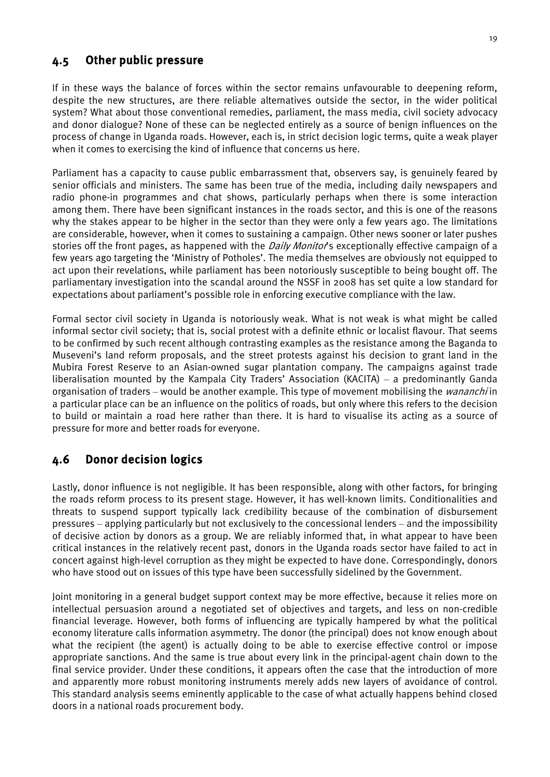#### <span id="page-27-0"></span>4.5 Other public pressure

If in these ways the balance of forces within the sector remains unfavourable to deepening reform, despite the new structures, are there reliable alternatives outside the sector, in the wider political system? What about those conventional remedies, parliament, the mass media, civil society advocacy and donor dialogue? None of these can be neglected entirely as a source of benign influences on the process of change in Uganda roads. However, each is, in strict decision logic terms, quite a weak player when it comes to exercising the kind of influence that concerns us here.

Parliament has a capacity to cause public embarrassment that, observers say, is genuinely feared by senior officials and ministers. The same has been true of the media, including daily newspapers and radio phone-in programmes and chat shows, particularly perhaps when there is some interaction among them. There have been significant instances in the roads sector, and this is one of the reasons why the stakes appear to be higher in the sector than they were only a few years ago. The limitations are considerable, however, when it comes to sustaining a campaign. Other news sooner or later pushes stories off the front pages, as happened with the *Daily Monitor'*s exceptionally effective campaign of a few years ago targeting the 'Ministry of Potholes'. The media themselves are obviously not equipped to act upon their revelations, while parliament has been notoriously susceptible to being bought off. The parliamentary investigation into the scandal around the NSSF in 2008 has set quite a low standard for expectations about parliament's possible role in enforcing executive compliance with the law.

Formal sector civil society in Uganda is notoriously weak. What is not weak is what might be called informal sector civil society; that is, social protest with a definite ethnic or localist flavour. That seems to be confirmed by such recent although contrasting examples as the resistance among the Baganda to Museveni's land reform proposals, and the street protests against his decision to grant land in the Mubira Forest Reserve to an Asian-owned sugar plantation company. The campaigns against trade liberalisation mounted by the Kampala City Traders' Association (KACITA) – a predominantly Ganda organisation of traders – would be another example. This type of movement mobilising the *wananchi* in a particular place can be an influence on the politics of roads, but only where this refers to the decision to build or maintain a road here rather than there. It is hard to visualise its acting as a source of pressure for more and better roads for everyone.

#### <span id="page-27-1"></span>4.6 Donor decision logics

Lastly, donor influence is not negligible. It has been responsible, along with other factors, for bringing the roads reform process to its present stage. However, it has well-known limits. Conditionalities and threats to suspend support typically lack credibility because of the combination of disbursement pressures – applying particularly but not exclusively to the concessional lenders – and the impossibility of decisive action by donors as a group. We are reliably informed that, in what appear to have been critical instances in the relatively recent past, donors in the Uganda roads sector have failed to act in concert against high-level corruption as they might be expected to have done. Correspondingly, donors who have stood out on issues of this type have been successfully sidelined by the Government.

Joint monitoring in a general budget support context may be more effective, because it relies more on intellectual persuasion around a negotiated set of objectives and targets, and less on non-credible financial leverage. However, both forms of influencing are typically hampered by what the political economy literature calls information asymmetry. The donor (the principal) does not know enough about what the recipient (the agent) is actually doing to be able to exercise effective control or impose appropriate sanctions. And the same is true about every link in the principal-agent chain down to the final service provider. Under these conditions, it appears often the case that the introduction of more and apparently more robust monitoring instruments merely adds new layers of avoidance of control. This standard analysis seems eminently applicable to the case of what actually happens behind closed doors in a national roads procurement body.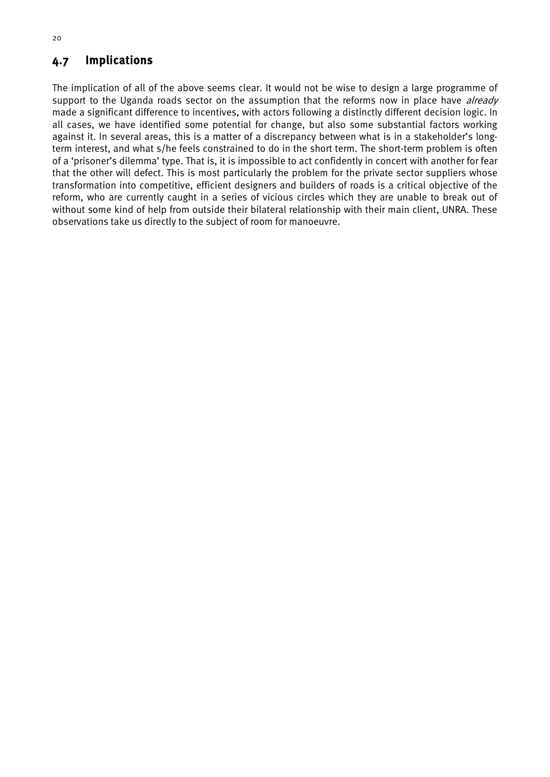#### <span id="page-28-0"></span>4.7 Implications

The implication of all of the above seems clear. It would not be wise to design a large programme of support to the Uganda roads sector on the assumption that the reforms now in place have *already* made a significant difference to incentives, with actors following a distinctly different decision logic. In all cases, we have identified some potential for change, but also some substantial factors working against it. In several areas, this is a matter of a discrepancy between what is in a stakeholder's longterm interest, and what s/he feels constrained to do in the short term. The short-term problem is often of a 'prisoner's dilemma' type. That is, it is impossible to act confidently in concert with another for fear that the other will defect. This is most particularly the problem for the private sector suppliers whose transformation into competitive, efficient designers and builders of roads is a critical objective of the reform, who are currently caught in a series of vicious circles which they are unable to break out of without some kind of help from outside their bilateral relationship with their main client, UNRA. These observations take us directly to the subject of room for manoeuvre.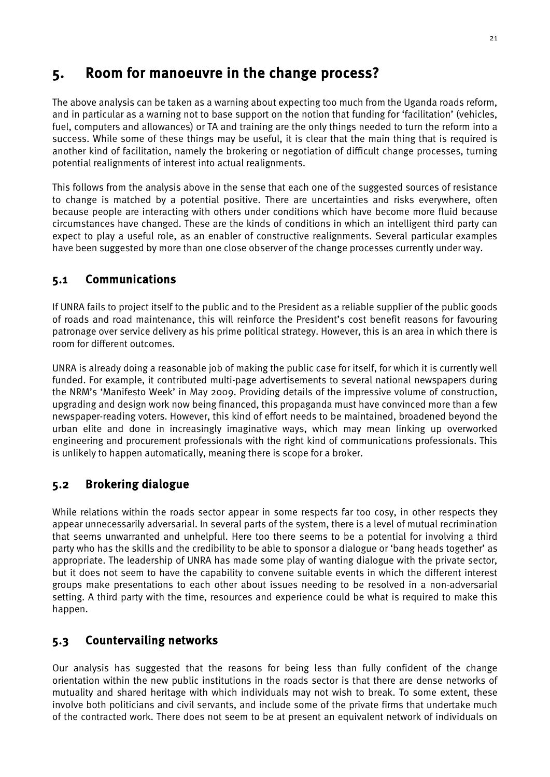# <span id="page-29-0"></span>5. Room for manoeuvre in the change process?

The above analysis can be taken as a warning about expecting too much from the Uganda roads reform, and in particular as a warning not to base support on the notion that funding for 'facilitation' (vehicles, fuel, computers and allowances) or TA and training are the only things needed to turn the reform into a success. While some of these things may be useful, it is clear that the main thing that is required is another kind of facilitation, namely the brokering or negotiation of difficult change processes, turning potential realignments of interest into actual realignments.

This follows from the analysis above in the sense that each one of the suggested sources of resistance to change is matched by a potential positive. There are uncertainties and risks everywhere, often because people are interacting with others under conditions which have become more fluid because circumstances have changed. These are the kinds of conditions in which an intelligent third party can expect to play a useful role, as an enabler of constructive realignments. Several particular examples have been suggested by more than one close observer of the change processes currently under way.

#### <span id="page-29-1"></span>5.1 Communications

If UNRA fails to project itself to the public and to the President as a reliable supplier of the public goods of roads and road maintenance, this will reinforce the President's cost benefit reasons for favouring patronage over service delivery as his prime political strategy. However, this is an area in which there is room for different outcomes.

UNRA is already doing a reasonable job of making the public case for itself, for which it is currently well funded. For example, it contributed multi-page advertisements to several national newspapers during the NRM's 'Manifesto Week' in May 2009. Providing details of the impressive volume of construction, upgrading and design work now being financed, this propaganda must have convinced more than a few newspaper-reading voters. However, this kind of effort needs to be maintained, broadened beyond the urban elite and done in increasingly imaginative ways, which may mean linking up overworked engineering and procurement professionals with the right kind of communications professionals. This is unlikely to happen automatically, meaning there is scope for a broker.

## <span id="page-29-2"></span>5.2 Brokering dialogue

While relations within the roads sector appear in some respects far too cosy, in other respects they appear unnecessarily adversarial. In several parts of the system, there is a level of mutual recrimination that seems unwarranted and unhelpful. Here too there seems to be a potential for involving a third party who has the skills and the credibility to be able to sponsor a dialogue or 'bang heads together' as appropriate. The leadership of UNRA has made some play of wanting dialogue with the private sector, but it does not seem to have the capability to convene suitable events in which the different interest groups make presentations to each other about issues needing to be resolved in a non-adversarial setting. A third party with the time, resources and experience could be what is required to make this happen.

#### <span id="page-29-3"></span>5.3 Countervailing networks

Our analysis has suggested that the reasons for being less than fully confident of the change orientation within the new public institutions in the roads sector is that there are dense networks of mutuality and shared heritage with which individuals may not wish to break. To some extent, these involve both politicians and civil servants, and include some of the private firms that undertake much of the contracted work. There does not seem to be at present an equivalent network of individuals on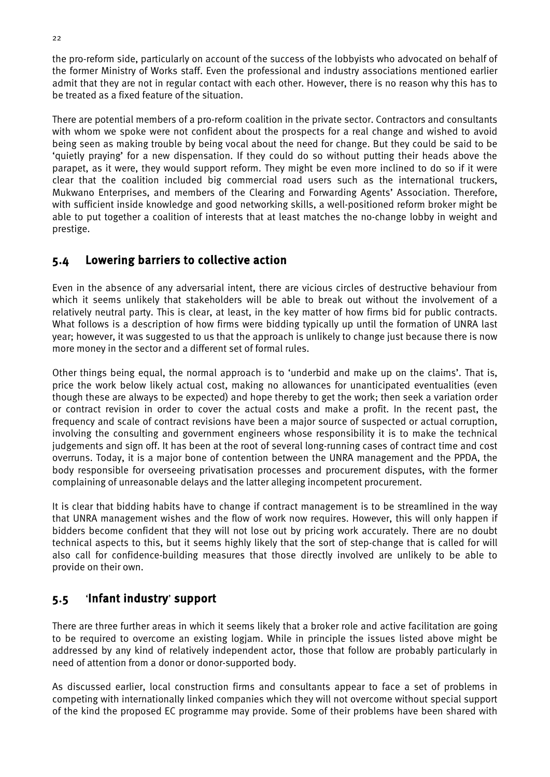the pro-reform side, particularly on account of the success of the lobbyists who advocated on behalf of the former Ministry of Works staff. Even the professional and industry associations mentioned earlier admit that they are not in regular contact with each other. However, there is no reason why this has to be treated as a fixed feature of the situation.

There are potential members of a pro-reform coalition in the private sector. Contractors and consultants with whom we spoke were not confident about the prospects for a real change and wished to avoid being seen as making trouble by being vocal about the need for change. But they could be said to be 'quietly praying' for a new dispensation. If they could do so without putting their heads above the parapet, as it were, they would support reform. They might be even more inclined to do so if it were clear that the coalition included big commercial road users such as the international truckers, Mukwano Enterprises, and members of the Clearing and Forwarding Agents' Association. Therefore, with sufficient inside knowledge and good networking skills, a well-positioned reform broker might be able to put together a coalition of interests that at least matches the no-change lobby in weight and prestige.

#### <span id="page-30-0"></span>5.4 Lowering barriers to collective action

Even in the absence of any adversarial intent, there are vicious circles of destructive behaviour from which it seems unlikely that stakeholders will be able to break out without the involvement of a relatively neutral party. This is clear, at least, in the key matter of how firms bid for public contracts. What follows is a description of how firms were bidding typically up until the formation of UNRA last year; however, it was suggested to us that the approach is unlikely to change just because there is now more money in the sector and a different set of formal rules.

Other things being equal, the normal approach is to 'underbid and make up on the claims'. That is, price the work below likely actual cost, making no allowances for unanticipated eventualities (even though these are always to be expected) and hope thereby to get the work; then seek a variation order or contract revision in order to cover the actual costs and make a profit. In the recent past, the frequency and scale of contract revisions have been a major source of suspected or actual corruption, involving the consulting and government engineers whose responsibility it is to make the technical judgements and sign off. It has been at the root of several long-running cases of contract time and cost overruns. Today, it is a major bone of contention between the UNRA management and the PPDA, the body responsible for overseeing privatisation processes and procurement disputes, with the former complaining of unreasonable delays and the latter alleging incompetent procurement.

It is clear that bidding habits have to change if contract management is to be streamlined in the way that UNRA management wishes and the flow of work now requires. However, this will only happen if bidders become confident that they will not lose out by pricing work accurately. There are no doubt technical aspects to this, but it seems highly likely that the sort of step-change that is called for will also call for confidence-building measures that those directly involved are unlikely to be able to provide on their own.

#### <span id="page-30-1"></span>5.5 'Infant industry' support

There are three further areas in which it seems likely that a broker role and active facilitation are going to be required to overcome an existing logjam. While in principle the issues listed above might be addressed by any kind of relatively independent actor, those that follow are probably particularly in need of attention from a donor or donor-supported body.

As discussed earlier, local construction firms and consultants appear to face a set of problems in competing with internationally linked companies which they will not overcome without special support of the kind the proposed EC programme may provide. Some of their problems have been shared with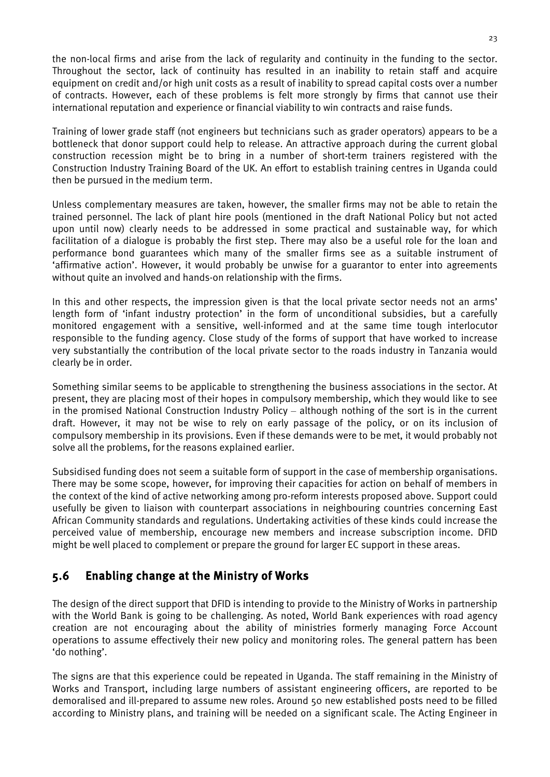the non-local firms and arise from the lack of regularity and continuity in the funding to the sector. Throughout the sector, lack of continuity has resulted in an inability to retain staff and acquire equipment on credit and/or high unit costs as a result of inability to spread capital costs over a number of contracts. However, each of these problems is felt more strongly by firms that cannot use their international reputation and experience or financial viability to win contracts and raise funds.

Training of lower grade staff (not engineers but technicians such as grader operators) appears to be a bottleneck that donor support could help to release. An attractive approach during the current global construction recession might be to bring in a number of short-term trainers registered with the Construction Industry Training Board of the UK. An effort to establish training centres in Uganda could then be pursued in the medium term.

Unless complementary measures are taken, however, the smaller firms may not be able to retain the trained personnel. The lack of plant hire pools (mentioned in the draft National Policy but not acted upon until now) clearly needs to be addressed in some practical and sustainable way, for which facilitation of a dialogue is probably the first step. There may also be a useful role for the loan and performance bond guarantees which many of the smaller firms see as a suitable instrument of 'affirmative action'. However, it would probably be unwise for a guarantor to enter into agreements without quite an involved and hands-on relationship with the firms.

In this and other respects, the impression given is that the local private sector needs not an arms' length form of 'infant industry protection' in the form of unconditional subsidies, but a carefully monitored engagement with a sensitive, well-informed and at the same time tough interlocutor responsible to the funding agency. Close study of the forms of support that have worked to increase very substantially the contribution of the local private sector to the roads industry in Tanzania would clearly be in order.

Something similar seems to be applicable to strengthening the business associations in the sector. At present, they are placing most of their hopes in compulsory membership, which they would like to see in the promised National Construction Industry Policy – although nothing of the sort is in the current draft. However, it may not be wise to rely on early passage of the policy, or on its inclusion of compulsory membership in its provisions. Even if these demands were to be met, it would probably not solve all the problems, for the reasons explained earlier.

Subsidised funding does not seem a suitable form of support in the case of membership organisations. There may be some scope, however, for improving their capacities for action on behalf of members in the context of the kind of active networking among pro-reform interests proposed above. Support could usefully be given to liaison with counterpart associations in neighbouring countries concerning East African Community standards and regulations. Undertaking activities of these kinds could increase the perceived value of membership, encourage new members and increase subscription income. DFID might be well placed to complement or prepare the ground for larger EC support in these areas.

## <span id="page-31-0"></span>5.6 Enabling change at the Ministry of Works

The design of the direct support that DFID is intending to provide to the Ministry of Works in partnership with the World Bank is going to be challenging. As noted, World Bank experiences with road agency creation are not encouraging about the ability of ministries formerly managing Force Account operations to assume effectively their new policy and monitoring roles. The general pattern has been 'do nothing'.

The signs are that this experience could be repeated in Uganda. The staff remaining in the Ministry of Works and Transport, including large numbers of assistant engineering officers, are reported to be demoralised and ill-prepared to assume new roles. Around 50 new established posts need to be filled according to Ministry plans, and training will be needed on a significant scale. The Acting Engineer in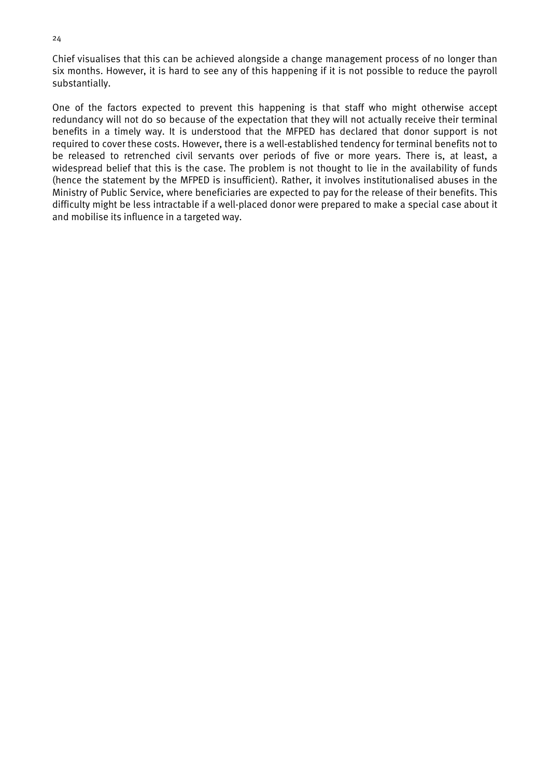Chief visualises that this can be achieved alongside a change management process of no longer than six months. However, it is hard to see any of this happening if it is not possible to reduce the payroll substantially.

One of the factors expected to prevent this happening is that staff who might otherwise accept redundancy will not do so because of the expectation that they will not actually receive their terminal benefits in a timely way. It is understood that the MFPED has declared that donor support is not required to cover these costs. However, there is a well-established tendency for terminal benefits not to be released to retrenched civil servants over periods of five or more years. There is, at least, a widespread belief that this is the case. The problem is not thought to lie in the availability of funds (hence the statement by the MFPED is insufficient). Rather, it involves institutionalised abuses in the Ministry of Public Service, where beneficiaries are expected to pay for the release of their benefits. This difficulty might be less intractable if a well-placed donor were prepared to make a special case about it and mobilise its influence in a targeted way.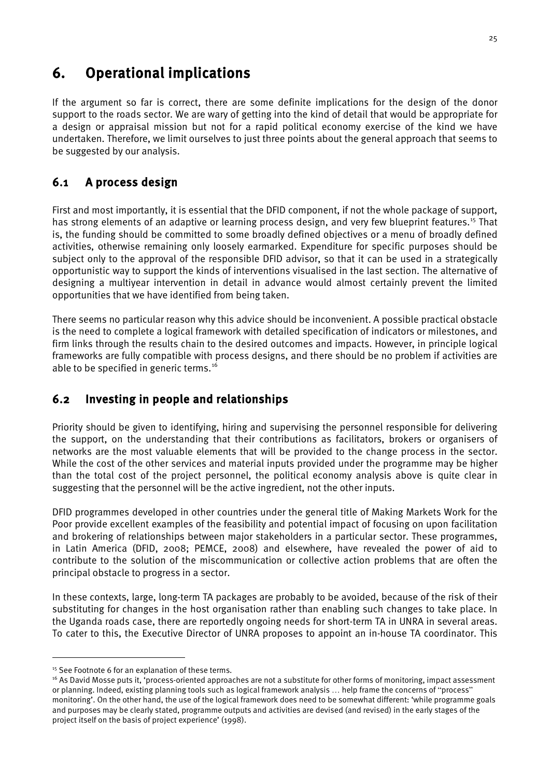# <span id="page-33-0"></span>6. Operational implications

If the argument so far is correct, there are some definite implications for the design of the donor support to the roads sector. We are wary of getting into the kind of detail that would be appropriate for a design or appraisal mission but not for a rapid political economy exercise of the kind we have undertaken. Therefore, we limit ourselves to just three points about the general approach that seems to be suggested by our analysis.

## <span id="page-33-1"></span>6.1 A process design

First and most importantly, it is essential that the DFID component, if not the whole package of support, has strong elements of an adaptive or learning process design, and very few blueprint features.<sup>[15](#page-33-3)</sup> That is, the funding should be committed to some broadly defined objectives or a menu of broadly defined activities, otherwise remaining only loosely earmarked. Expenditure for specific purposes should be subject only to the approval of the responsible DFID advisor, so that it can be used in a strategically opportunistic way to support the kinds of interventions visualised in the last section. The alternative of designing a multiyear intervention in detail in advance would almost certainly prevent the limited opportunities that we have identified from being taken.

There seems no particular reason why this advice should be inconvenient. A possible practical obstacle is the need to complete a logical framework with detailed specification of indicators or milestones, and firm links through the results chain to the desired outcomes and impacts. However, in principle logical frameworks are fully compatible with process designs, and there should be no problem if activities are able to be specified in generic terms.<sup>[16](#page-33-4)</sup>

## <span id="page-33-2"></span>6.2 Investing in people and relationships

Priority should be given to identifying, hiring and supervising the personnel responsible for delivering the support, on the understanding that their contributions as facilitators, brokers or organisers of networks are the most valuable elements that will be provided to the change process in the sector. While the cost of the other services and material inputs provided under the programme may be higher than the total cost of the project personnel, the political economy analysis above is quite clear in suggesting that the personnel will be the active ingredient, not the other inputs.

DFID programmes developed in other countries under the general title of Making Markets Work for the Poor provide excellent examples of the feasibility and potential impact of focusing on upon facilitation and brokering of relationships between major stakeholders in a particular sector. These programmes, in Latin America (DFID, 2008; PEMCE, 2008) and elsewhere, have revealed the power of aid to contribute to the solution of the miscommunication or collective action problems that are often the principal obstacle to progress in a sector.

In these contexts, large, long-term TA packages are probably to be avoided, because of the risk of their substituting for changes in the host organisation rather than enabling such changes to take place. In the Uganda roads case, there are reportedly ongoing needs for short-term TA in UNRA in several areas. To cater to this, the Executive Director of UNRA proposes to appoint an in-house TA coordinator. This

-

<span id="page-33-3"></span><sup>&</sup>lt;sup>15</sup> See Footnote 6 for an explanation of these terms.

<span id="page-33-4"></span><sup>&</sup>lt;sup>16</sup> As David Mosse puts it, 'process-oriented approaches are not a substitute for other forms of monitoring, impact assessment or planning. Indeed, existing planning tools such as logical framework analysis … help frame the concerns of "process" monitoring'. On the other hand, the use of the logical framework does need to be somewhat different: 'while programme goals and purposes may be clearly stated, programme outputs and activities are devised (and revised) in the early stages of the project itself on the basis of project experience' (1998).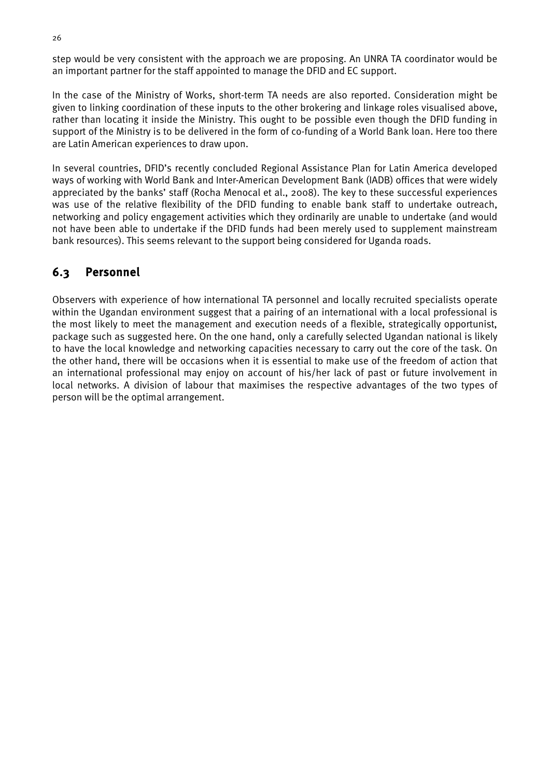step would be very consistent with the approach we are proposing. An UNRA TA coordinator would be an important partner for the staff appointed to manage the DFID and EC support.

In the case of the Ministry of Works, short-term TA needs are also reported. Consideration might be given to linking coordination of these inputs to the other brokering and linkage roles visualised above, rather than locating it inside the Ministry. This ought to be possible even though the DFID funding in support of the Ministry is to be delivered in the form of co-funding of a World Bank loan. Here too there are Latin American experiences to draw upon.

In several countries, DFID's recently concluded Regional Assistance Plan for Latin America developed ways of working with World Bank and Inter-American Development Bank (IADB) offices that were widely appreciated by the banks' staff (Rocha Menocal et al., 2008). The key to these successful experiences was use of the relative flexibility of the DFID funding to enable bank staff to undertake outreach, networking and policy engagement activities which they ordinarily are unable to undertake (and would not have been able to undertake if the DFID funds had been merely used to supplement mainstream bank resources). This seems relevant to the support being considered for Uganda roads.

#### <span id="page-34-0"></span>6.3 Personnel

Observers with experience of how international TA personnel and locally recruited specialists operate within the Ugandan environment suggest that a pairing of an international with a local professional is the most likely to meet the management and execution needs of a flexible, strategically opportunist, package such as suggested here. On the one hand, only a carefully selected Ugandan national is likely to have the local knowledge and networking capacities necessary to carry out the core of the task. On the other hand, there will be occasions when it is essential to make use of the freedom of action that an international professional may enjoy on account of his/her lack of past or future involvement in local networks. A division of labour that maximises the respective advantages of the two types of person will be the optimal arrangement.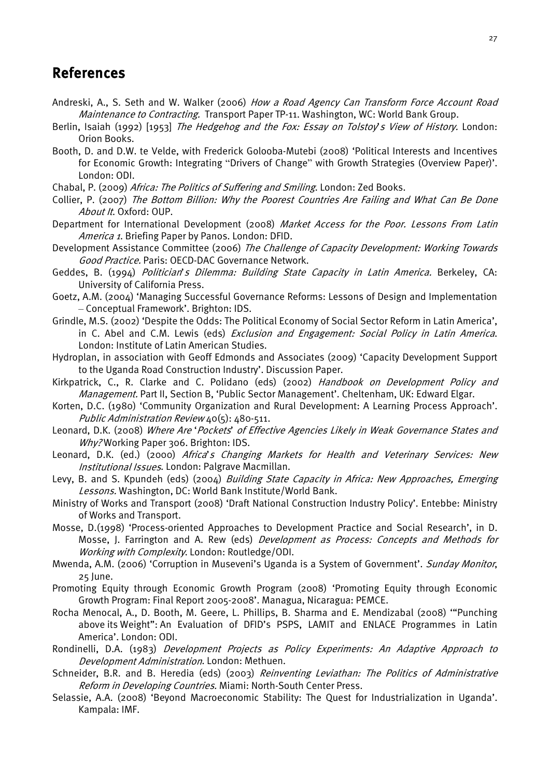## <span id="page-35-0"></span>References

- Andreski, A., S. Seth and W. Walker (2006) How a Road Agency Can Transform Force Account Road Maintenance to Contracting. Transport Paper TP-11. Washington, WC: World Bank Group.
- Berlin, Isaiah (1992) [1953] The Hedgehog and the Fox: Essay on Tolstoy's View of History. London: Orion Books.
- Booth, D. and D.W. te Velde, with Frederick Golooba-Mutebi (2008) 'Political Interests and Incentives for Economic Growth: Integrating "Drivers of Change" with Growth Strategies (Overview Paper)'. London: ODI.
- Chabal, P. (2009) Africa: The Politics of Suffering and Smiling. London: Zed Books.
- Collier, P. (2007) The Bottom Billion: Why the Poorest Countries Are Failing and What Can Be Done About It. Oxford: OUP.
- Department for International Development (2008) Market Access for the Poor. Lessons From Latin America 1. Briefing Paper by Panos. London: DFID.
- Development Assistance Committee (2006) The Challenge of Capacity Development: Working Towards Good Practice. Paris: OECD-DAC Governance Network.
- Geddes, B. (1994) Politician's Dilemma: Building State Capacity in Latin America. Berkeley, CA: University of California Press.
- Goetz, A.M. (2004) 'Managing Successful Governance Reforms: Lessons of Design and Implementation – Conceptual Framework'. Brighton: IDS.
- Grindle, M.S. (2002) 'Despite the Odds: The Political Economy of Social Sector Reform in Latin America', in C. Abel and C.M. Lewis (eds) Exclusion and Engagement: Social Policy in Latin America. London: Institute of Latin American Studies.
- Hydroplan, in association with Geoff Edmonds and Associates (2009) 'Capacity Development Support to the Uganda Road Construction Industry'. Discussion Paper.
- Kirkpatrick, C., R. Clarke and C. Polidano (eds) (2002) Handbook on Development Policy and Management. Part II, Section B, 'Public Sector Management'. Cheltenham, UK: Edward Elgar.
- Korten, D.C. (1980) 'Community Organization and Rural Development: A Learning Process Approach'. Public Administration Review 40(5): 480-511.
- Leonard, D.K. (2008) Where Are 'Pockets' of Effective Agencies Likely in Weak Governance States and Why? Working Paper 306. Brighton: IDS.
- Leonard, D.K. (ed.) (2000) Africa's Changing Markets for Health and Veterinary Services: New Institutional Issues. London: Palgrave Macmillan.
- Levy, B. and S. Kpundeh (eds) (2004) Building State Capacity in Africa: New Approaches, Emerging Lessons. Washington, DC: World Bank Institute/World Bank.
- Ministry of Works and Transport (2008) 'Draft National Construction Industry Policy'. Entebbe: Ministry of Works and Transport.
- Mosse, D.(1998) 'Process-oriented Approaches to Development Practice and Social Research', in D. Mosse, J. Farrington and A. Rew (eds) Development as Process: Concepts and Methods for Working with Complexity. London: Routledge/ODI.
- Mwenda, A.M. (2006) 'Corruption in Museveni's Uganda is a System of Government'. Sunday Monitor, 25 June.
- Promoting Equity through Economic Growth Program (2008) 'Promoting Equity through Economic Growth Program: Final Report 2005-2008'. Managua, Nicaragua: PEMCE.
- Rocha Menocal, A., D. Booth, M. Geere, L. Phillips, B. Sharma and E. Mendizabal (2008) '"Punching above its Weight": An Evaluation of DFID's PSPS, LAMIT and ENLACE Programmes in Latin America'. London: ODI.
- Rondinelli, D.A. (1983) Development Projects as Policy Experiments: An Adaptive Approach to Development Administration. London: Methuen.
- Schneider, B.R. and B. Heredia (eds) (2003) Reinventing Leviathan: The Politics of Administrative Reform in Developing Countries. Miami: North-South Center Press.
- Selassie, A.A. (2008) 'Beyond Macroeconomic Stability: The Quest for Industrialization in Uganda'. Kampala: IMF.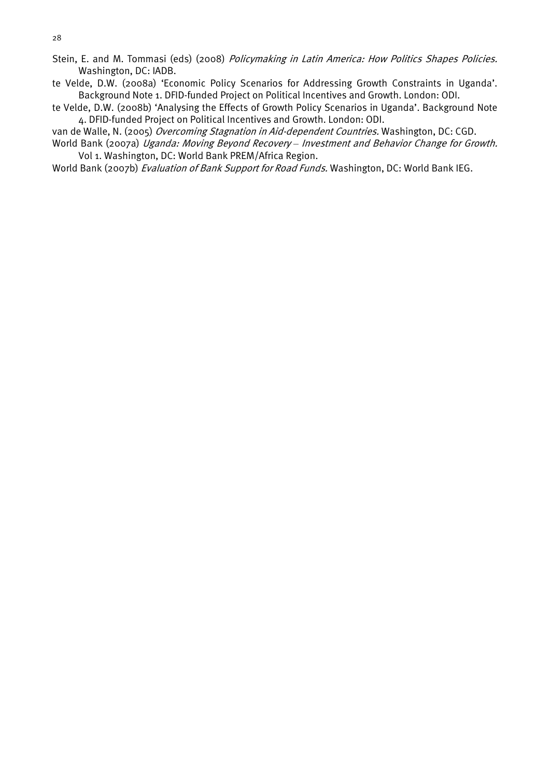- Stein, E. and M. Tommasi (eds) (2008) Policymaking in Latin America: How Politics Shapes Policies. Washington, DC: IADB.
- te Velde, D.W. (2008a) 'Economic Policy Scenarios for Addressing Growth Constraints in Uganda'. Background Note 1. DFID-funded Project on Political Incentives and Growth. London: ODI.
- te Velde, D.W. (2008b) 'Analysing the Effects of Growth Policy Scenarios in Uganda'. Background Note 4. DFID-funded Project on Political Incentives and Growth. London: ODI.

van de Walle, N. (2005) Overcoming Stagnation in Aid-dependent Countries. Washington, DC: CGD.

World Bank (2007a) Uganda: Moving Beyond Recovery *–* Investment and Behavior Change for Growth. Vol 1. Washington, DC: World Bank PREM/Africa Region.

World Bank (2007b) Evaluation of Bank Support for Road Funds. Washington, DC: World Bank IEG.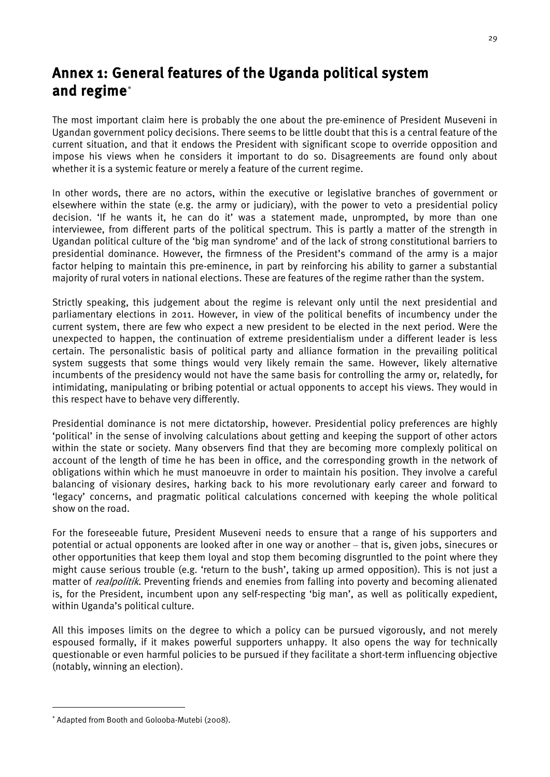# <span id="page-37-0"></span>Annex 1: General features of the Uganda political system and regime[∗](#page-37-1)

The most important claim here is probably the one about the pre-eminence of President Museveni in Ugandan government policy decisions. There seems to be little doubt that this is a central feature of the current situation, and that it endows the President with significant scope to override opposition and impose his views when he considers it important to do so. Disagreements are found only about whether it is a systemic feature or merely a feature of the current regime.

In other words, there are no actors, within the executive or legislative branches of government or elsewhere within the state (e.g. the army or judiciary), with the power to veto a presidential policy decision. 'If he wants it, he can do it' was a statement made, unprompted, by more than one interviewee, from different parts of the political spectrum. This is partly a matter of the strength in Ugandan political culture of the 'big man syndrome' and of the lack of strong constitutional barriers to presidential dominance. However, the firmness of the President's command of the army is a major factor helping to maintain this pre-eminence, in part by reinforcing his ability to garner a substantial majority of rural voters in national elections. These are features of the regime rather than the system.

Strictly speaking, this judgement about the regime is relevant only until the next presidential and parliamentary elections in 2011. However, in view of the political benefits of incumbency under the current system, there are few who expect a new president to be elected in the next period. Were the unexpected to happen, the continuation of extreme presidentialism under a different leader is less certain. The personalistic basis of political party and alliance formation in the prevailing political system suggests that some things would very likely remain the same. However, likely alternative incumbents of the presidency would not have the same basis for controlling the army or, relatedly, for intimidating, manipulating or bribing potential or actual opponents to accept his views. They would in this respect have to behave very differently.

Presidential dominance is not mere dictatorship, however. Presidential policy preferences are highly 'political' in the sense of involving calculations about getting and keeping the support of other actors within the state or society. Many observers find that they are becoming more complexly political on account of the length of time he has been in office, and the corresponding growth in the network of obligations within which he must manoeuvre in order to maintain his position. They involve a careful balancing of visionary desires, harking back to his more revolutionary early career and forward to 'legacy' concerns, and pragmatic political calculations concerned with keeping the whole political show on the road.

For the foreseeable future, President Museveni needs to ensure that a range of his supporters and potential or actual opponents are looked after in one way or another – that is, given jobs, sinecures or other opportunities that keep them loyal and stop them becoming disgruntled to the point where they might cause serious trouble (e.g. 'return to the bush', taking up armed opposition). This is not just a matter of *realpolitik*. Preventing friends and enemies from falling into poverty and becoming alienated is, for the President, incumbent upon any self-respecting 'big man', as well as politically expedient, within Uganda's political culture.

All this imposes limits on the degree to which a policy can be pursued vigorously, and not merely espoused formally, if it makes powerful supporters unhappy. It also opens the way for technically questionable or even harmful policies to be pursued if they facilitate a short-term influencing objective (notably, winning an election).

-

<span id="page-37-1"></span><sup>∗</sup> Adapted from Booth and Golooba-Mutebi (2008).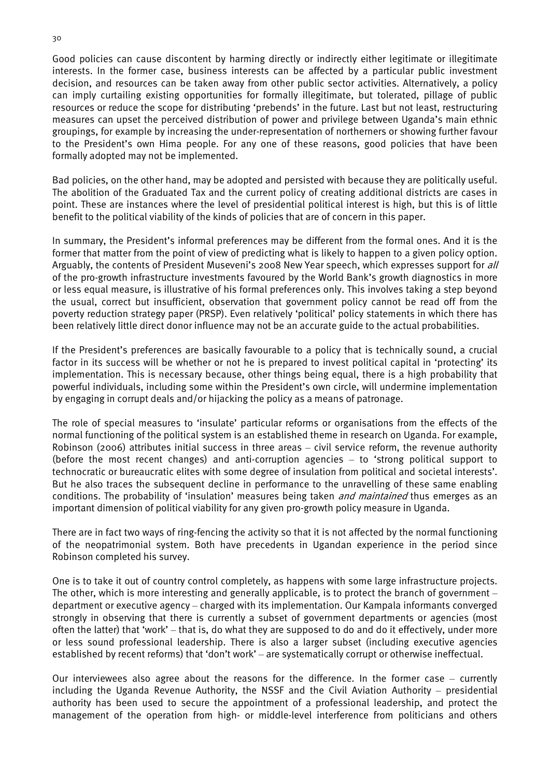Good policies can cause discontent by harming directly or indirectly either legitimate or illegitimate interests. In the former case, business interests can be affected by a particular public investment decision, and resources can be taken away from other public sector activities. Alternatively, a policy can imply curtailing existing opportunities for formally illegitimate, but tolerated, pillage of public resources or reduce the scope for distributing 'prebends' in the future. Last but not least, restructuring measures can upset the perceived distribution of power and privilege between Uganda's main ethnic groupings, for example by increasing the under-representation of northerners or showing further favour to the President's own Hima people. For any one of these reasons, good policies that have been formally adopted may not be implemented.

Bad policies, on the other hand, may be adopted and persisted with because they are politically useful. The abolition of the Graduated Tax and the current policy of creating additional districts are cases in point. These are instances where the level of presidential political interest is high, but this is of little benefit to the political viability of the kinds of policies that are of concern in this paper.

In summary, the President's informal preferences may be different from the formal ones. And it is the former that matter from the point of view of predicting what is likely to happen to a given policy option. Arguably, the contents of President Museveni's 2008 New Year speech, which expresses support for all of the pro-growth infrastructure investments favoured by the World Bank's growth diagnostics in more or less equal measure, is illustrative of his formal preferences only. This involves taking a step beyond the usual, correct but insufficient, observation that government policy cannot be read off from the poverty reduction strategy paper (PRSP). Even relatively 'political' policy statements in which there has been relatively little direct donor influence may not be an accurate guide to the actual probabilities.

If the President's preferences are basically favourable to a policy that is technically sound, a crucial factor in its success will be whether or not he is prepared to invest political capital in 'protecting' its implementation. This is necessary because, other things being equal, there is a high probability that powerful individuals, including some within the President's own circle, will undermine implementation by engaging in corrupt deals and/or hijacking the policy as a means of patronage.

The role of special measures to 'insulate' particular reforms or organisations from the effects of the normal functioning of the political system is an established theme in research on Uganda. For example, Robinson (2006) attributes initial success in three areas – civil service reform, the revenue authority (before the most recent changes) and anti-corruption agencies – to 'strong political support to technocratic or bureaucratic elites with some degree of insulation from political and societal interests'. But he also traces the subsequent decline in performance to the unravelling of these same enabling conditions. The probability of 'insulation' measures being taken *and maintained* thus emerges as an important dimension of political viability for any given pro-growth policy measure in Uganda.

There are in fact two ways of ring-fencing the activity so that it is not affected by the normal functioning of the neopatrimonial system. Both have precedents in Ugandan experience in the period since Robinson completed his survey.

One is to take it out of country control completely, as happens with some large infrastructure projects. The other, which is more interesting and generally applicable, is to protect the branch of government – department or executive agency – charged with its implementation. Our Kampala informants converged strongly in observing that there is currently a subset of government departments or agencies (most often the latter) that 'work' – that is, do what they are supposed to do and do it effectively, under more or less sound professional leadership. There is also a larger subset (including executive agencies established by recent reforms) that 'don't work' – are systematically corrupt or otherwise ineffectual.

Our interviewees also agree about the reasons for the difference. In the former case – currently including the Uganda Revenue Authority, the NSSF and the Civil Aviation Authority – presidential authority has been used to secure the appointment of a professional leadership, and protect the management of the operation from high- or middle-level interference from politicians and others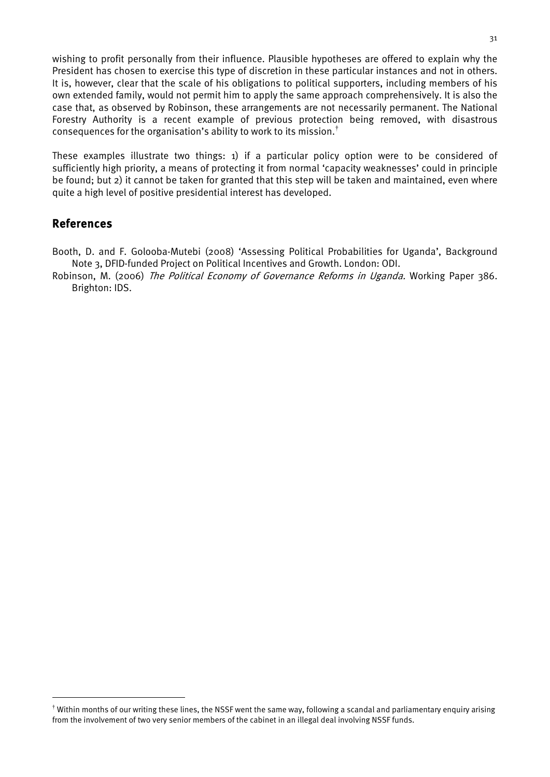wishing to profit personally from their influence. Plausible hypotheses are offered to explain why the President has chosen to exercise this type of discretion in these particular instances and not in others. It is, however, clear that the scale of his obligations to political supporters, including members of his own extended family, would not permit him to apply the same approach comprehensively. It is also the case that, as observed by Robinson, these arrangements are not necessarily permanent. The National Forestry Authority is a recent example of previous protection being removed, with disastrous consequences for the organisation's ability to work to its mission.<sup>[†](#page-39-0)</sup>

These examples illustrate two things: 1) if a particular policy option were to be considered of sufficiently high priority, a means of protecting it from normal 'capacity weaknesses' could in principle be found; but 2) it cannot be taken for granted that this step will be taken and maintained, even where quite a high level of positive presidential interest has developed.

#### References

Booth, D. and F. Golooba-Mutebi (2008) 'Assessing Political Probabilities for Uganda', Background Note 3, DFID-funded Project on Political Incentives and Growth. London: ODI.

Robinson, M. (2006) The Political Economy of Governance Reforms in Uganda. Working Paper 386. Brighton: IDS.

<span id="page-39-0"></span> $^{\dagger}$  Within months of our writing these lines, the NSSF went the same way, following a scandal and parliamentary enquiry arising from the involvement of two very senior members of the cabinet in an illegal deal involving NSSF funds.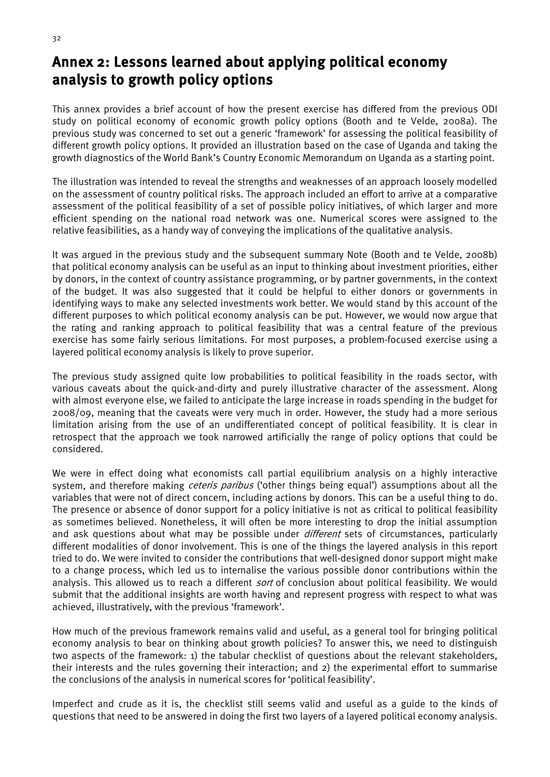## <span id="page-40-0"></span>Annex 2: Lessons learned about applying political economy analysis to growth policy options

This annex provides a brief account of how the present exercise has differed from the previous ODI study on political economy of economic growth policy options (Booth and te Velde, 2008a). The previous study was concerned to set out a generic 'framework' for assessing the political feasibility of different growth policy options. It provided an illustration based on the case of Uganda and taking the growth diagnostics of the World Bank's Country Economic Memorandum on Uganda as a starting point.

The illustration was intended to reveal the strengths and weaknesses of an approach loosely modelled on the assessment of country political risks. The approach included an effort to arrive at a comparative assessment of the political feasibility of a set of possible policy initiatives, of which larger and more efficient spending on the national road network was one. Numerical scores were assigned to the relative feasibilities, as a handy way of conveying the implications of the qualitative analysis.

It was argued in the previous study and the subsequent summary Note (Booth and te Velde, 2008b) that political economy analysis can be useful as an input to thinking about investment priorities, either by donors, in the context of country assistance programming, or by partner governments, in the context of the budget. It was also suggested that it could be helpful to either donors or governments in identifying ways to make any selected investments work better. We would stand by this account of the different purposes to which political economy analysis can be put. However, we would now argue that the rating and ranking approach to political feasibility that was a central feature of the previous exercise has some fairly serious limitations. For most purposes, a problem-focused exercise using a layered political economy analysis is likely to prove superior.

The previous study assigned quite low probabilities to political feasibility in the roads sector, with various caveats about the quick-and-dirty and purely illustrative character of the assessment. Along with almost everyone else, we failed to anticipate the large increase in roads spending in the budget for 2008/09, meaning that the caveats were very much in order. However, the study had a more serious limitation arising from the use of an undifferentiated concept of political feasibility. It is clear in retrospect that the approach we took narrowed artificially the range of policy options that could be considered.

We were in effect doing what economists call partial equilibrium analysis on a highly interactive system, and therefore making *ceteris paribus* ('other things being equal') assumptions about all the variables that were not of direct concern, including actions by donors. This can be a useful thing to do. The presence or absence of donor support for a policy initiative is not as critical to political feasibility as sometimes believed. Nonetheless, it will often be more interesting to drop the initial assumption and ask questions about what may be possible under *different* sets of circumstances, particularly different modalities of donor involvement. This is one of the things the layered analysis in this report tried to do. We were invited to consider the contributions that well-designed donor support might make to a change process, which led us to internalise the various possible donor contributions within the analysis. This allowed us to reach a different *sort* of conclusion about political feasibility. We would submit that the additional insights are worth having and represent progress with respect to what was achieved, illustratively, with the previous 'framework'.

How much of the previous framework remains valid and useful, as a general tool for bringing political economy analysis to bear on thinking about growth policies? To answer this, we need to distinguish two aspects of the framework: 1) the tabular checklist of questions about the relevant stakeholders, their interests and the rules governing their interaction; and 2) the experimental effort to summarise the conclusions of the analysis in numerical scores for 'political feasibility'.

Imperfect and crude as it is, the checklist still seems valid and useful as a guide to the kinds of questions that need to be answered in doing the first two layers of a layered political economy analysis.